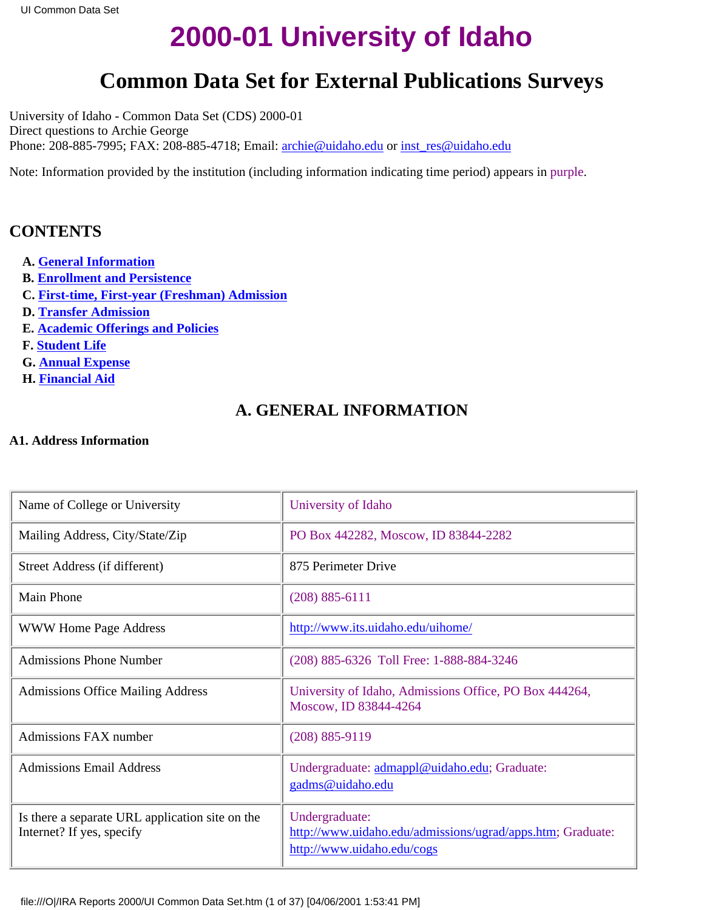# **2000-01 University of Idaho**

# **Common Data Set for External Publications Surveys**

<span id="page-0-1"></span><span id="page-0-0"></span>University of Idaho - Common Data Set (CDS) 2000-01 Direct questions to Archie George Phone: 208-885-7995; FAX: 208-885-4718; Email: [archie@uidaho.edu](mailto:archie@uidaho.edu) or [inst\\_res@uidaho.edu](mailto:inst_res@uidaho.edu)

Note: Information provided by the institution (including information indicating time period) appears in purple.

# **CONTENTS**

- **A. [General Information](#page-0-0)**
- **B. [Enrollment and Persistence](#page-2-0)**
- **C. [First-time, First-year \(Freshman\) Admission](#page-6-0)**
- **D[. Transfer Admission](#page-13-0)**
- **E. [Academic Offerings and Policies](#page-15-0)**
- **F. [Student Life](#page-16-0)**
- **G. [Annual Expense](#page-18-0)**
- **H. [Financial Aid](#page-20-0)**

# **A. GENERAL INFORMATION**

### **A1. Address Information**

| Name of College or University                                                | University of Idaho                                                                                        |
|------------------------------------------------------------------------------|------------------------------------------------------------------------------------------------------------|
| Mailing Address, City/State/Zip                                              | PO Box 442282, Moscow, ID 83844-2282                                                                       |
| Street Address (if different)                                                | 875 Perimeter Drive                                                                                        |
| Main Phone                                                                   | $(208) 885 - 6111$                                                                                         |
| <b>WWW Home Page Address</b>                                                 | http://www.its.uidaho.edu/uihome/                                                                          |
| <b>Admissions Phone Number</b>                                               | (208) 885-6326 Toll Free: 1-888-884-3246                                                                   |
| <b>Admissions Office Mailing Address</b>                                     | University of Idaho, Admissions Office, PO Box 444264,<br>Moscow, ID 83844-4264                            |
| Admissions FAX number                                                        | $(208) 885 - 9119$                                                                                         |
| <b>Admissions Email Address</b>                                              | Undergraduate: admappl@uidaho.edu; Graduate:<br>gadms@uidaho.edu                                           |
| Is there a separate URL application site on the<br>Internet? If yes, specify | Undergraduate:<br>http://www.uidaho.edu/admissions/ugrad/apps.htm; Graduate:<br>http://www.uidaho.edu/cogs |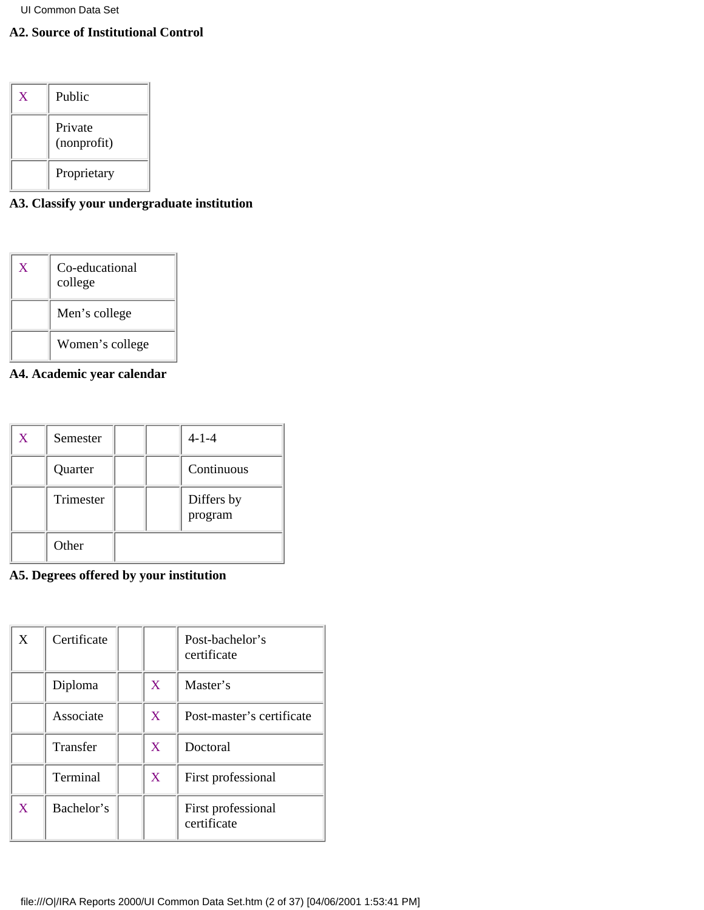# **A2. Source of Institutional Control**

| X | Public                 |
|---|------------------------|
|   | Private<br>(nonprofit) |
|   | Proprietary            |

# **A3. Classify your undergraduate institution**

| $\overline{X}$ | Co-educational<br>college |
|----------------|---------------------------|
|                | Men's college             |
|                | Women's college           |

# **A4. Academic year calendar**

| X | Semester  |  | $4 - 1 - 4$           |
|---|-----------|--|-----------------------|
|   | Quarter   |  | Continuous            |
|   | Trimester |  | Differs by<br>program |
|   | Other     |  |                       |

# **A5. Degrees offered by your institution**

| X | Certificate |                | Post-bachelor's<br>certificate    |
|---|-------------|----------------|-----------------------------------|
|   | Diploma     | $\overline{X}$ | Master's                          |
|   | Associate   | X              | Post-master's certificate         |
|   | Transfer    | $\bf{X}$       | Doctoral                          |
|   | Terminal    | X              | First professional                |
| X | Bachelor's  |                | First professional<br>certificate |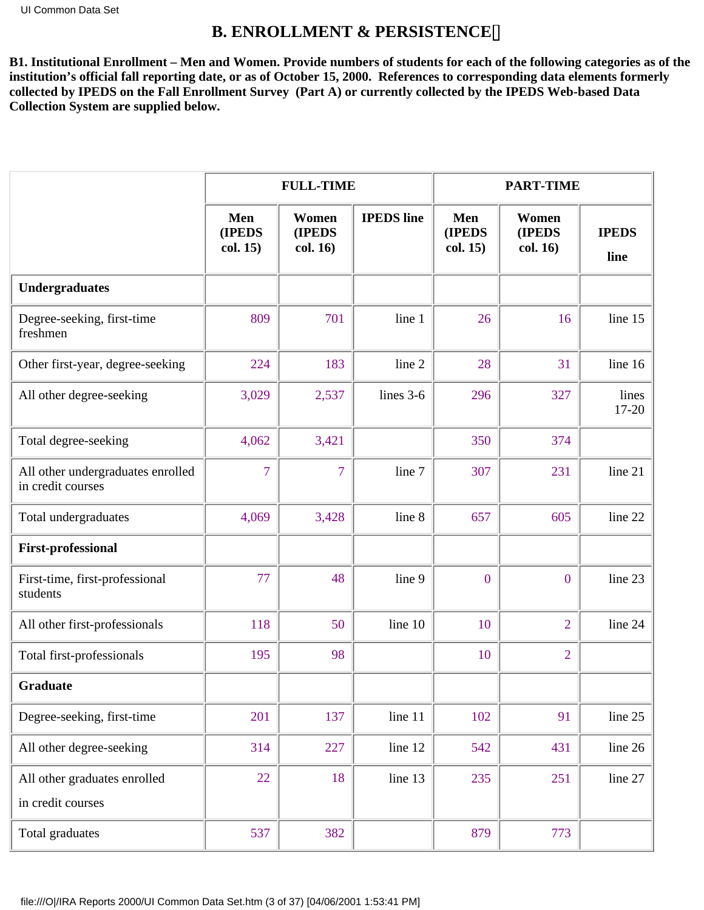# **B. ENROLLMENT & PERSISTENCE**

<span id="page-2-0"></span>**B1. Institutional Enrollment – Men and Women. Provide numbers of students for each of the following categories as of the institution's official fall reporting date, or as of October 15, 2000. References to corresponding data elements formerly collected by IPEDS on the Fall Enrollment Survey (Part A) or currently collected by the IPEDS Web-based Data Collection System are supplied below.**

|                                                        |                                  | <b>FULL-TIME</b>                   |                   | <b>PART-TIME</b>          |                             |                      |
|--------------------------------------------------------|----------------------------------|------------------------------------|-------------------|---------------------------|-----------------------------|----------------------|
|                                                        | Men<br><b>(IPEDS</b><br>col. 15) | Women<br><b>(IPEDS</b><br>col. 16) | <b>IPEDS</b> line | Men<br>(IPEDS<br>col. 15) | Women<br>(IPEDS<br>col. 16) | <b>IPEDS</b><br>line |
| <b>Undergraduates</b>                                  |                                  |                                    |                   |                           |                             |                      |
| Degree-seeking, first-time<br>freshmen                 | 809                              | 701                                | line 1            | 26                        | 16                          | line 15              |
| Other first-year, degree-seeking                       | 224                              | 183                                | line 2            | 28                        | 31                          | line 16              |
| All other degree-seeking                               | 3,029                            | 2,537                              | lines 3-6         | 296                       | 327                         | lines<br>17-20       |
| Total degree-seeking                                   | 4,062                            | 3,421                              |                   | 350                       | 374                         |                      |
| All other undergraduates enrolled<br>in credit courses | $\overline{7}$                   | $\overline{7}$                     | line 7            | 307                       | 231                         | line 21              |
| Total undergraduates                                   | 4,069                            | 3,428                              | line 8            | 657                       | 605                         | line 22              |
| <b>First-professional</b>                              |                                  |                                    |                   |                           |                             |                      |
| First-time, first-professional<br>students             | 77                               | 48                                 | line 9            | $\boldsymbol{0}$          | $\mathbf{0}$                | line 23              |
| All other first-professionals                          | 118                              | 50                                 | line 10           | 10                        | $\overline{2}$              | line 24              |
| Total first-professionals                              | 195                              | 98                                 |                   | 10                        | $\overline{2}$              |                      |
| Graduate                                               |                                  |                                    |                   |                           |                             |                      |
| Degree-seeking, first-time                             | 201                              | 137                                | line 11           | 102                       | 91                          | line 25              |
| All other degree-seeking                               | 314                              | 227                                | line 12           | 542                       | 431                         | line 26              |
| All other graduates enrolled<br>in credit courses      | 22                               | 18                                 | line 13           | 235                       | 251                         | line 27              |
| Total graduates                                        | 537                              | 382                                |                   | 879                       | 773                         |                      |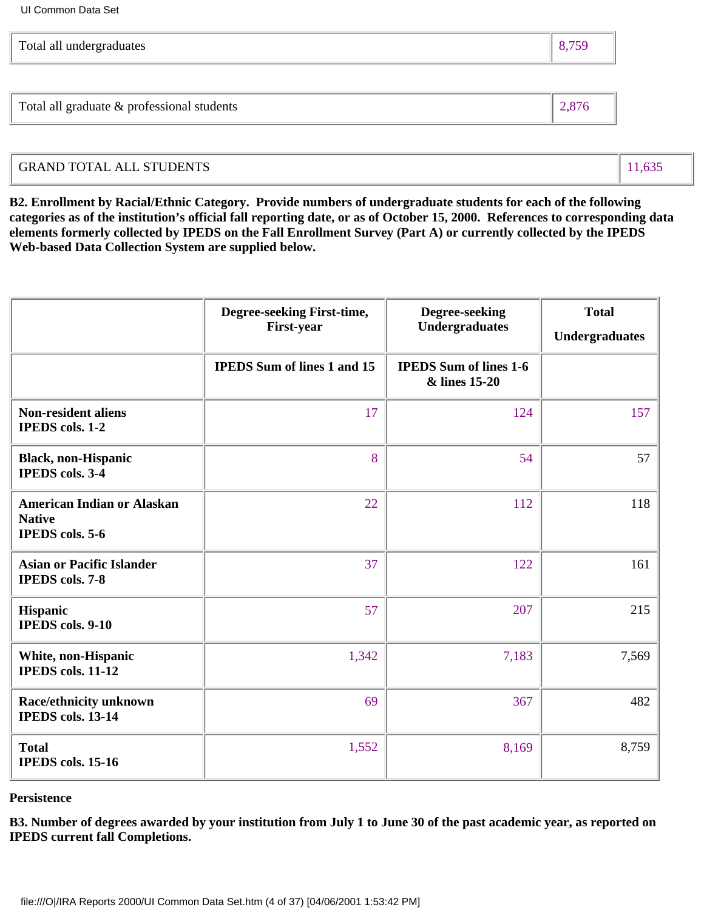| Total all undergraduates |  |
|--------------------------|--|
|                          |  |

Total all graduate & professional students  $\parallel$  2,876

# GRAND TOTAL ALL STUDENTS 11,635

**B2. Enrollment by Racial/Ethnic Category. Provide numbers of undergraduate students for each of the following categories as of the institution's official fall reporting date, or as of October 15, 2000. References to corresponding data elements formerly collected by IPEDS on the Fall Enrollment Survey (Part A) or currently collected by the IPEDS Web-based Data Collection System are supplied below.**

|                                                                              | Degree-seeking First-time,<br>First-year | Degree-seeking<br><b>Undergraduates</b>        | <b>Total</b><br><b>Undergraduates</b> |
|------------------------------------------------------------------------------|------------------------------------------|------------------------------------------------|---------------------------------------|
|                                                                              | <b>IPEDS</b> Sum of lines 1 and 15       | <b>IPEDS</b> Sum of lines 1-6<br>& lines 15-20 |                                       |
| <b>Non-resident aliens</b><br>IPEDS cols. 1-2                                | 17                                       | 124                                            | 157                                   |
| <b>Black, non-Hispanic</b><br><b>IPEDS</b> cols. 3-4                         | 8                                        | 54                                             | 57                                    |
| <b>American Indian or Alaskan</b><br><b>Native</b><br><b>IPEDS</b> cols. 5-6 | 22                                       | 112                                            | 118                                   |
| <b>Asian or Pacific Islander</b><br><b>IPEDS</b> cols. 7-8                   | 37                                       | 122                                            | 161                                   |
| Hispanic<br><b>IPEDS</b> cols. 9-10                                          | 57                                       | 207                                            | 215                                   |
| White, non-Hispanic<br><b>IPEDS</b> cols. 11-12                              | 1,342                                    | 7,183                                          | 7,569                                 |
| Race/ethnicity unknown<br>IPEDS cols. 13-14                                  | 69                                       | 367                                            | 482                                   |
| <b>Total</b><br><b>IPEDS</b> cols. 15-16                                     | 1,552                                    | 8,169                                          | 8,759                                 |

### **Persistence**

**B3. Number of degrees awarded by your institution from July 1 to June 30 of the past academic year, as reported on IPEDS current fall Completions.**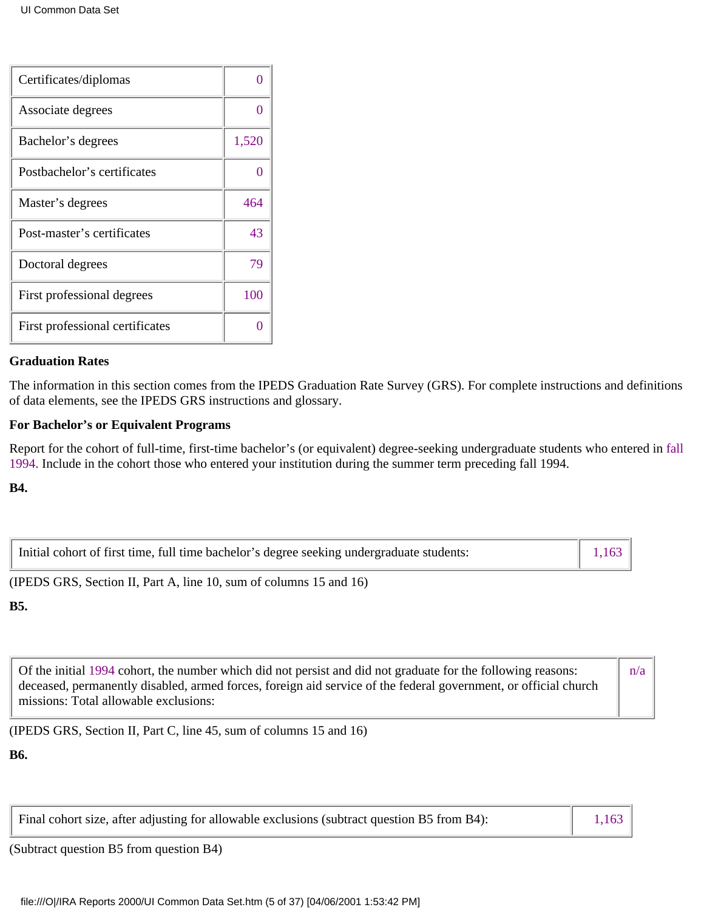| Certificates/diplomas           |       |
|---------------------------------|-------|
| Associate degrees               |       |
| Bachelor's degrees              | 1,520 |
| Postbachelor's certificates     |       |
| Master's degrees                | 464   |
| Post-master's certificates      | 43    |
| Doctoral degrees                | 79    |
| First professional degrees      | 100   |
| First professional certificates |       |

### **Graduation Rates**

The information in this section comes from the IPEDS Graduation Rate Survey (GRS). For complete instructions and definitions of data elements, see the IPEDS GRS instructions and glossary.

### **For Bachelor's or Equivalent Programs**

Report for the cohort of full-time, first-time bachelor's (or equivalent) degree-seeking undergraduate students who entered in fall 1994. Include in the cohort those who entered your institution during the summer term preceding fall 1994.

**B4.**

| Initial cohort of first time, full time bachelor's degree seeking undergraduate students: |  |
|-------------------------------------------------------------------------------------------|--|
|                                                                                           |  |

(IPEDS GRS, Section II, Part A, line 10, sum of columns 15 and 16)

### **B5.**

Of the initial 1994 cohort, the number which did not persist and did not graduate for the following reasons: deceased, permanently disabled, armed forces, foreign aid service of the federal government, or official church missions: Total allowable exclusions: n/a

(IPEDS GRS, Section II, Part C, line 45, sum of columns 15 and 16)

**B6.**

Final cohort size, after adjusting for allowable exclusions (subtract question B5 from B4): 1,163

(Subtract question B5 from question B4)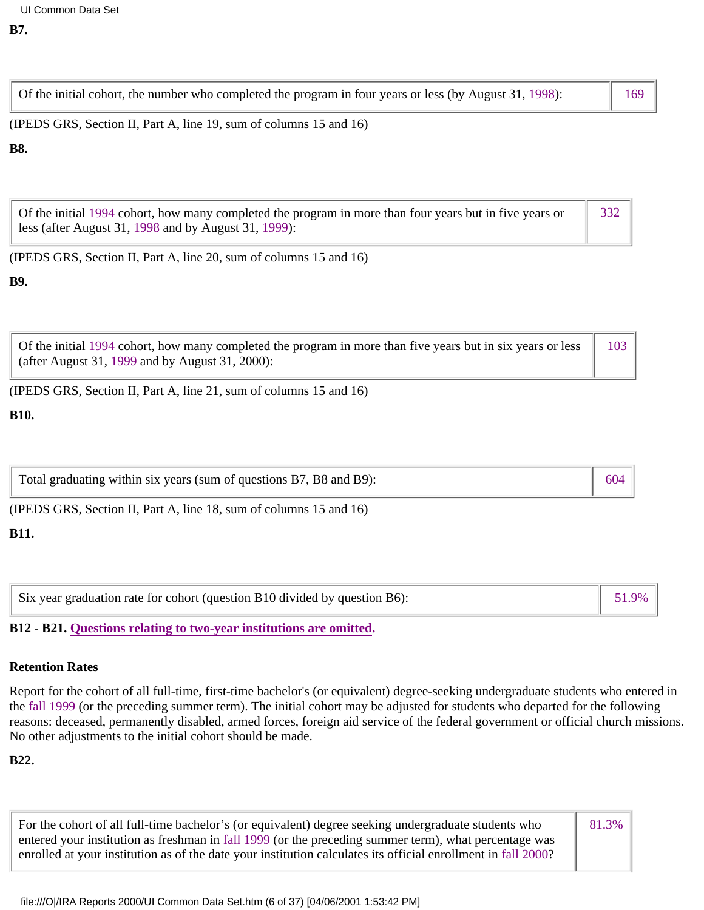Of the initial cohort, the number who completed the program in four years or less (by August 31, 1998): 169

(IPEDS GRS, Section II, Part A, line 19, sum of columns 15 and 16)

### **B8.**

| Of the initial 1994 cohort, how many completed the program in more than four years but in five years or | $\parallel$ 332 |
|---------------------------------------------------------------------------------------------------------|-----------------|
| $\vert$ less (after August 31, 1998 and by August 31, 1999):                                            |                 |

(IPEDS GRS, Section II, Part A, line 20, sum of columns 15 and 16)

# **B9.**

| Of the initial 1994 cohort, how many completed the program in more than five years but in six years or less | 103 |
|-------------------------------------------------------------------------------------------------------------|-----|
| (after August 31, 1999 and by August 31, 2000):                                                             |     |

(IPEDS GRS, Section II, Part A, line 21, sum of columns 15 and 16)

# **B10.**

| Total graduating within six years (sum of questions B7, B8 and B9): | 604 |
|---------------------------------------------------------------------|-----|
|                                                                     |     |

(IPEDS GRS, Section II, Part A, line 18, sum of columns 15 and 16)

# **B11.**

| Six year graduation rate for cohort (question B10 divided by question B6): | $51.9\%$ |
|----------------------------------------------------------------------------|----------|
|----------------------------------------------------------------------------|----------|

# **B12 - B21. Questions relating to two-year institutions are omitted.**

# **Retention Rates**

Report for the cohort of all full-time, first-time bachelor's (or equivalent) degree-seeking undergraduate students who entered in the fall 1999 (or the preceding summer term). The initial cohort may be adjusted for students who departed for the following reasons: deceased, permanently disabled, armed forces, foreign aid service of the federal government or official church missions. No other adjustments to the initial cohort should be made.

# **B22.**

| For the cohort of all full-time bachelor's (or equivalent) degree seeking undergraduate students who          | 81.3% |
|---------------------------------------------------------------------------------------------------------------|-------|
| entered your institution as freshman in fall 1999 (or the preceding summer term), what percentage was         |       |
| enrolled at your institution as of the date your institution calculates its official enrollment in fall 2000? |       |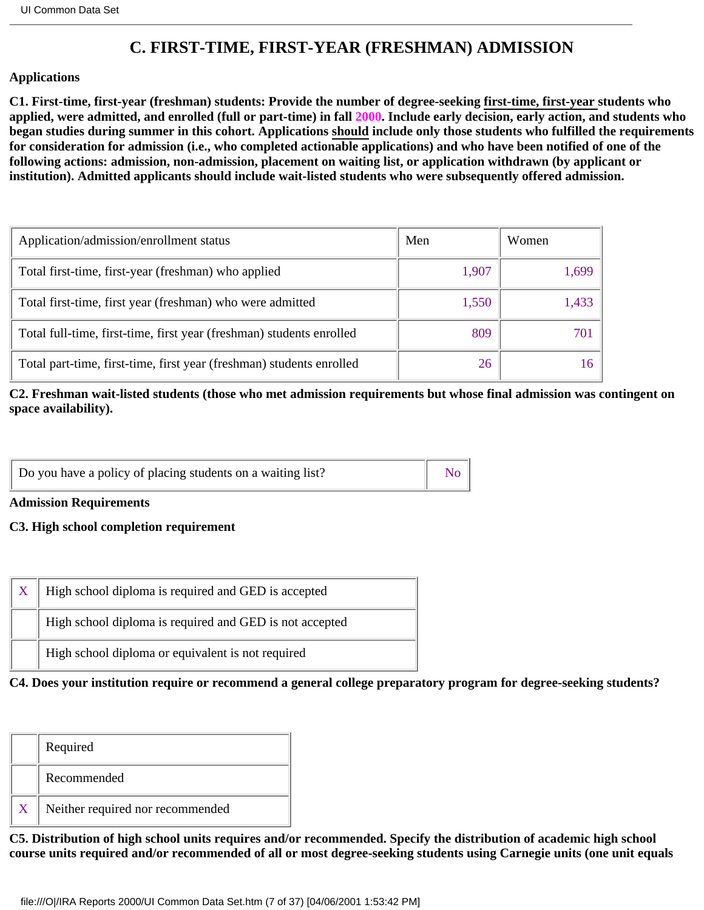# **C. FIRST-TIME, FIRST-YEAR (FRESHMAN) ADMISSION**

### <span id="page-6-0"></span>**Applications**

**C1. First-time, first-year (freshman) students: Provide the number of degree-seeking first-time, first-year students who applied, were admitted, and enrolled (full or part-time) in fall 2000. Include early decision, early action, and students who began studies during summer in this cohort. Applications should include only those students who fulfilled the requirements for consideration for admission (i.e., who completed actionable applications) and who have been notified of one of the following actions: admission, non-admission, placement on waiting list, or application withdrawn (by applicant or institution). Admitted applicants should include wait-listed students who were subsequently offered admission.**

| Application/admission/enrollment status                              | Men   | Women |
|----------------------------------------------------------------------|-------|-------|
| Total first-time, first-year (freshman) who applied                  | 1,907 | 1,699 |
| Total first-time, first year (freshman) who were admitted            | 1,550 | 1,433 |
| Total full-time, first-time, first year (freshman) students enrolled | 809   | 701   |
| Total part-time, first-time, first year (freshman) students enrolled | 26    |       |

**C2. Freshman wait-listed students (those who met admission requirements but whose final admission was contingent on space availability).**

| Do you have a policy of placing students on a waiting list? | $\begin{array}{ c c } \hline \text{No} & \end{array}$ |
|-------------------------------------------------------------|-------------------------------------------------------|
|-------------------------------------------------------------|-------------------------------------------------------|

**Admission Requirements**

### **C3. High school completion requirement**

| High school diploma is required and GED is not accepted | High school diploma is required and GED is accepted |
|---------------------------------------------------------|-----------------------------------------------------|
|                                                         |                                                     |
|                                                         | High school diploma or equivalent is not required   |

**C4. Does your institution require or recommend a general college preparatory program for degree-seeking students?**

| Required                         |
|----------------------------------|
| Recommended                      |
| Neither required nor recommended |

**C5. Distribution of high school units requires and/or recommended. Specify the distribution of academic high school course units required and/or recommended of all or most degree-seeking students using Carnegie units (one unit equals**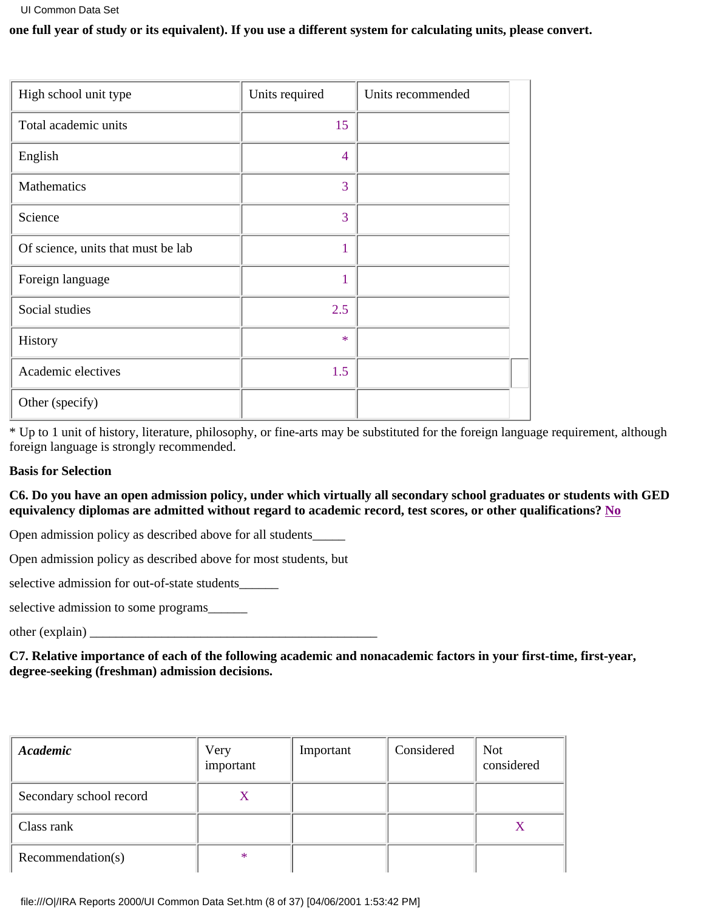### **one full year of study or its equivalent). If you use a different system for calculating units, please convert.**

| High school unit type              | Units required | Units recommended |
|------------------------------------|----------------|-------------------|
| Total academic units               | 15             |                   |
| English                            | $\overline{4}$ |                   |
| Mathematics                        | 3              |                   |
| Science                            | 3              |                   |
| Of science, units that must be lab | 1              |                   |
| Foreign language                   | 1              |                   |
| Social studies                     | 2.5            |                   |
| History                            | $\ast$         |                   |
| Academic electives                 | 1.5            |                   |
| Other (specify)                    |                |                   |

\* Up to 1 unit of history, literature, philosophy, or fine-arts may be substituted for the foreign language requirement, although foreign language is strongly recommended.

### **Basis for Selection**

### **C6. Do you have an open admission policy, under which virtually all secondary school graduates or students with GED equivalency diplomas are admitted without regard to academic record, test scores, or other qualifications? No**

Open admission policy as described above for all students\_\_\_\_\_

Open admission policy as described above for most students, but

selective admission for out-of-state students\_\_\_\_\_\_

selective admission to some programs\_\_\_\_\_\_

other (explain)

**C7. Relative importance of each of the following academic and nonacademic factors in your first-time, first-year, degree-seeking (freshman) admission decisions.**

| Academic                | Very<br>important | Important | Considered | <b>Not</b><br>considered |
|-------------------------|-------------------|-----------|------------|--------------------------|
| Secondary school record |                   |           |            |                          |
| Class rank              |                   |           |            | X                        |
| Recommendation(s)       | $\ast$            |           |            |                          |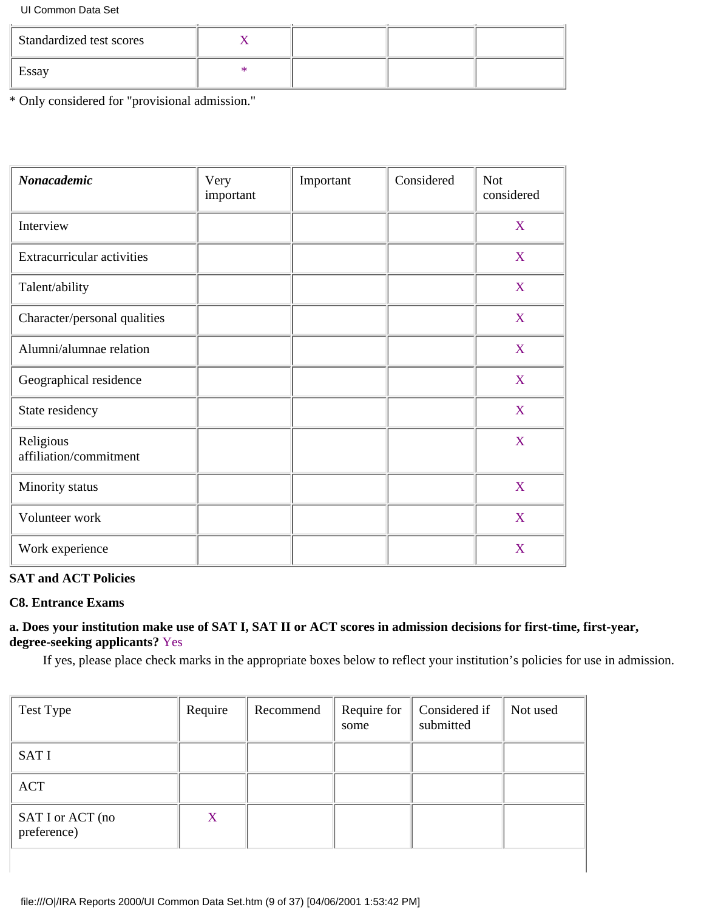| <b>Standardized test scores</b> |  |  |
|---------------------------------|--|--|
| Essay                           |  |  |

\* Only considered for "provisional admission."

| <b>Nonacademic</b>                  | Very<br>important | Important | Considered | <b>Not</b><br>considered |
|-------------------------------------|-------------------|-----------|------------|--------------------------|
| Interview                           |                   |           |            | X                        |
| Extracurricular activities          |                   |           |            | X                        |
| Talent/ability                      |                   |           |            | X                        |
| Character/personal qualities        |                   |           |            | X                        |
| Alumni/alumnae relation             |                   |           |            | X                        |
| Geographical residence              |                   |           |            | X                        |
| State residency                     |                   |           |            | X                        |
| Religious<br>affiliation/commitment |                   |           |            | X                        |
| Minority status                     |                   |           |            | X                        |
| Volunteer work                      |                   |           |            | X                        |
| Work experience                     |                   |           |            | X                        |

### **SAT and ACT Policies**

### **C8. Entrance Exams**

### **a. Does your institution make use of SAT I, SAT II or ACT scores in admission decisions for first-time, first-year, degree-seeking applicants?** Yes

If yes, please place check marks in the appropriate boxes below to reflect your institution's policies for use in admission.

| Test Type                       | Require | Recommend | Require for<br>some | Considered if<br>submitted | Not used |
|---------------------------------|---------|-----------|---------------------|----------------------------|----------|
| <b>SATI</b>                     |         |           |                     |                            |          |
| <b>ACT</b>                      |         |           |                     |                            |          |
| SAT I or ACT (no<br>preference) | X       |           |                     |                            |          |
|                                 |         |           |                     |                            |          |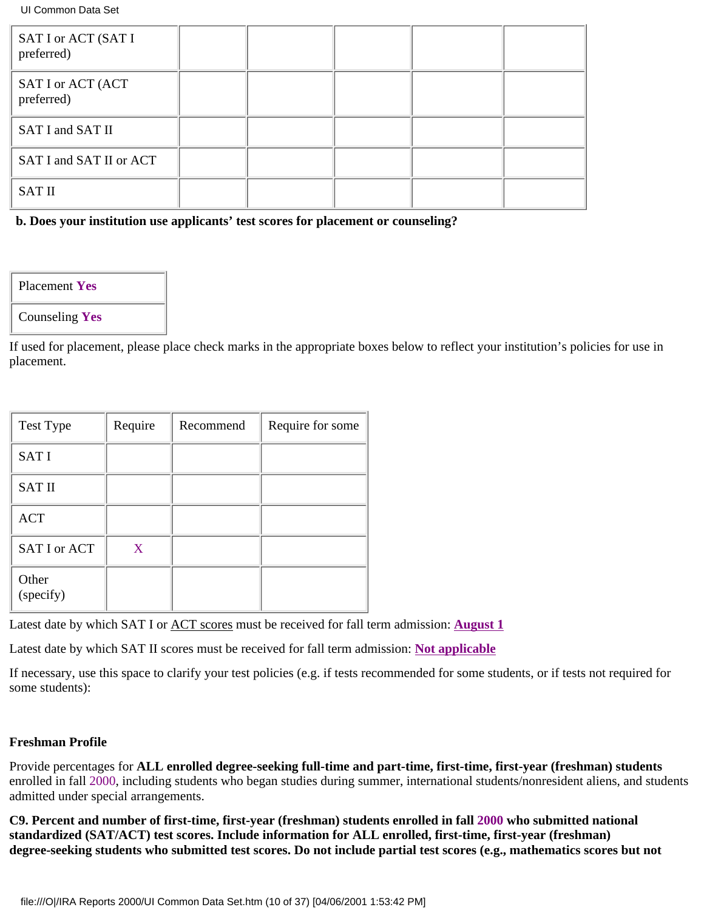| SAT I or ACT (SAT I<br>preferred) |  |  |  |
|-----------------------------------|--|--|--|
| SAT I or ACT (ACT<br>preferred)   |  |  |  |
| SAT I and SAT II                  |  |  |  |
| SAT I and SAT II or ACT           |  |  |  |
| <b>SAT II</b>                     |  |  |  |

**b. Does your institution use applicants' test scores for placement or counseling?**

Placement **Yes**

Counseling **Yes**

If used for placement, please place check marks in the appropriate boxes below to reflect your institution's policies for use in placement.

| Test Type          | Require | Recommend | Require for some |
|--------------------|---------|-----------|------------------|
| <b>SATI</b>        |         |           |                  |
| <b>SAT II</b>      |         |           |                  |
| <b>ACT</b>         |         |           |                  |
| SAT I or ACT       | X       |           |                  |
| Other<br>(specify) |         |           |                  |

Latest date by which SAT I or ACT scores must be received for fall term admission: **August 1**

Latest date by which SAT II scores must be received for fall term admission: **Not applicable**

If necessary, use this space to clarify your test policies (e.g. if tests recommended for some students, or if tests not required for some students):

### **Freshman Profile**

Provide percentages for **ALL enrolled degree-seeking full-time and part-time, first-time, first-year (freshman) students** enrolled in fall 2000, including students who began studies during summer, international students/nonresident aliens, and students admitted under special arrangements.

**C9. Percent and number of first-time, first-year (freshman) students enrolled in fall 2000 who submitted national standardized (SAT/ACT) test scores. Include information for ALL enrolled, first-time, first-year (freshman) degree-seeking students who submitted test scores. Do not include partial test scores (e.g., mathematics scores but not**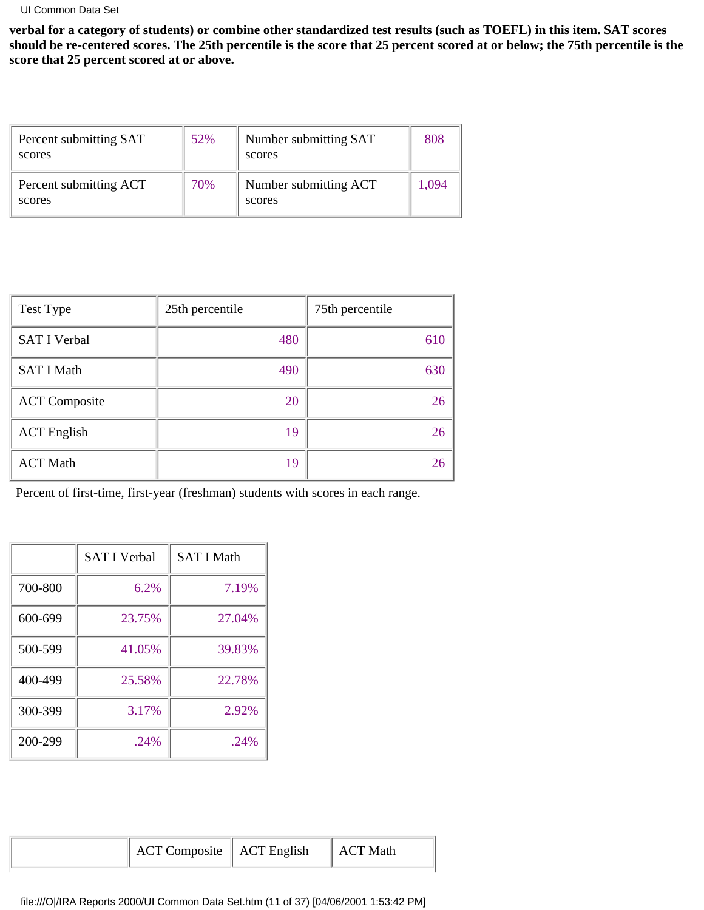**verbal for a category of students) or combine other standardized test results (such as TOEFL) in this item. SAT scores should be re-centered scores. The 25th percentile is the score that 25 percent scored at or below; the 75th percentile is the score that 25 percent scored at or above.**

| Percent submitting SAT<br>scores | 52% | Number submitting SAT<br>scores | 808   |
|----------------------------------|-----|---------------------------------|-------|
| Percent submitting ACT<br>scores | 70% | Number submitting ACT<br>scores | 1,094 |

| Test Type            | 25th percentile | 75th percentile |
|----------------------|-----------------|-----------------|
| <b>SAT I Verbal</b>  | 480             | 610             |
| <b>SAT I Math</b>    | 490             | 630             |
| <b>ACT</b> Composite | 20              | 26              |
| <b>ACT</b> English   | 19              | 26              |
| <b>ACT Math</b>      | 19              | 26              |

Percent of first-time, first-year (freshman) students with scores in each range.

|         | <b>SAT I Verbal</b> | <b>SAT I Math</b> |
|---------|---------------------|-------------------|
| 700-800 | 6.2%                | 7.19%             |
| 600-699 | 23.75%              | 27.04%            |
| 500-599 | 41.05%              | 39.83%            |
| 400-499 | 25.58%              | 22.78%            |
| 300-399 | 3.17%               | 2.92%             |
| 200-299 | .24%                | .24%              |

|  | ACT Composite   ACT English |  | $\parallel$ ACT Math |
|--|-----------------------------|--|----------------------|
|--|-----------------------------|--|----------------------|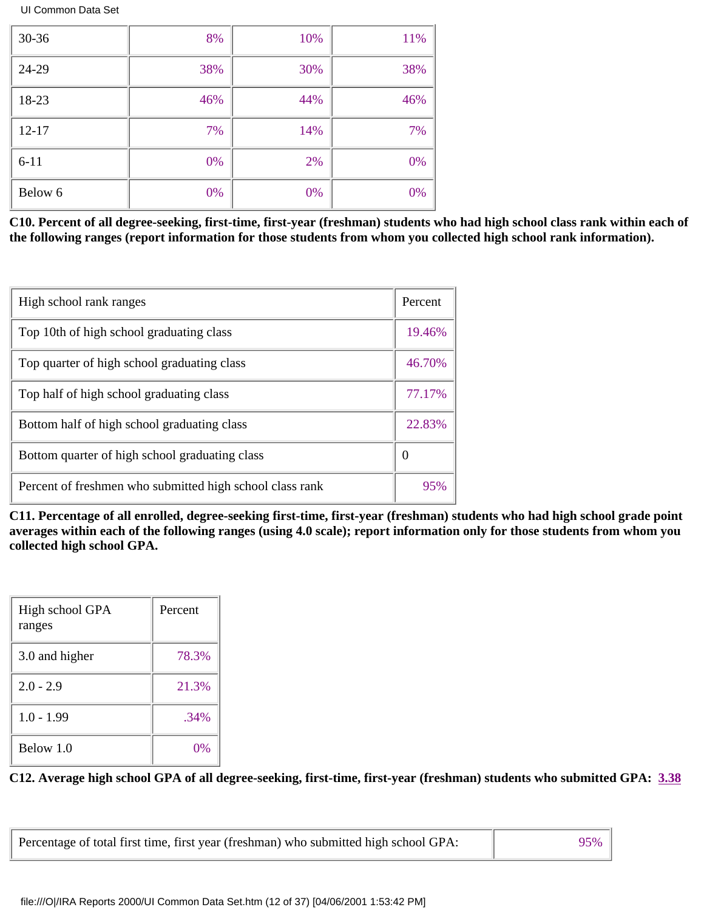| 30-36     | 8%    | 10% | 11% |
|-----------|-------|-----|-----|
| 24-29     | 38%   | 30% | 38% |
| 18-23     | 46%   | 44% | 46% |
| $12 - 17$ | 7%    | 14% | 7%  |
| $6 - 11$  | 0%    | 2%  | 0%  |
| Below 6   | $0\%$ | 0%  | 0%  |

**C10. Percent of all degree-seeking, first-time, first-year (freshman) students who had high school class rank within each of the following ranges (report information for those students from whom you collected high school rank information).**

| High school rank ranges                                  | Percent          |
|----------------------------------------------------------|------------------|
| Top 10th of high school graduating class                 | 19.46%           |
| Top quarter of high school graduating class              | 46.70%           |
| Top half of high school graduating class                 | 77.17%           |
| Bottom half of high school graduating class              | 22.83%           |
| Bottom quarter of high school graduating class           | $\boldsymbol{0}$ |
| Percent of freshmen who submitted high school class rank | 95%              |

**C11. Percentage of all enrolled, degree-seeking first-time, first-year (freshman) students who had high school grade point averages within each of the following ranges (using 4.0 scale); report information only for those students from whom you collected high school GPA.**

| High school GPA<br>ranges | Percent |
|---------------------------|---------|
| 3.0 and higher            | 78.3%   |
| $2.0 - 2.9$               | 21.3%   |
| $1.0 - 1.99$              | .34%    |
| Below 1.0                 | 0%      |

**C12. Average high school GPA of all degree-seeking, first-time, first-year (freshman) students who submitted GPA: 3.38**

| Percentage of total first time, first year (freshman) who submitted high school GPA: | $95\%$ |
|--------------------------------------------------------------------------------------|--------|
|--------------------------------------------------------------------------------------|--------|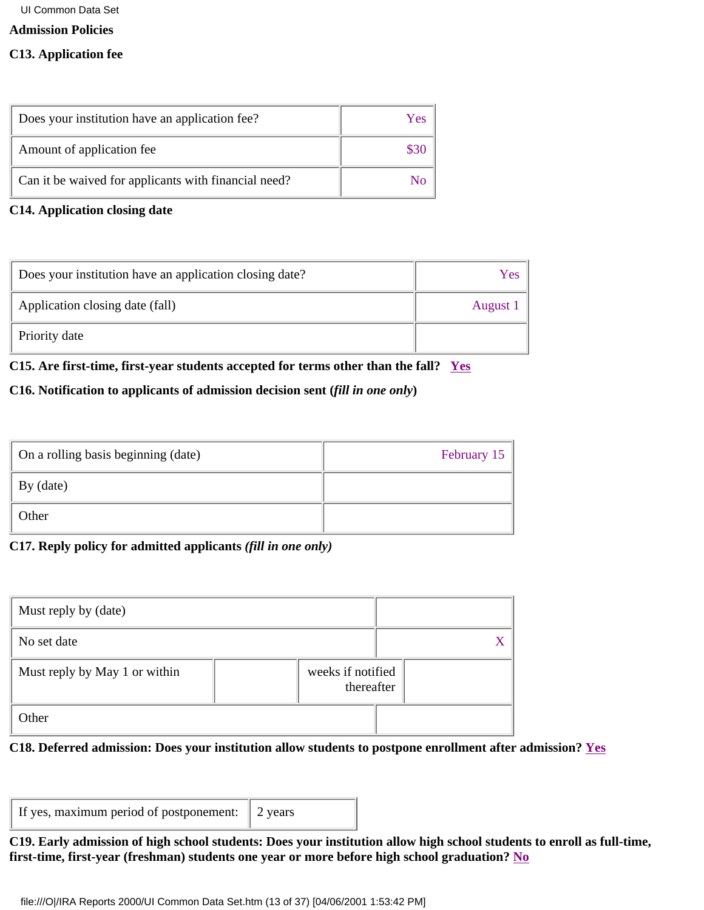### **Admission Policies**

### **C13. Application fee**

| Does your institution have an application fee?       | Yes |
|------------------------------------------------------|-----|
| Amount of application fee                            |     |
| Can it be waived for applicants with financial need? |     |

### **C14. Application closing date**

| Does your institution have an application closing date? | Y es     |
|---------------------------------------------------------|----------|
| Application closing date (fall)                         | August 1 |
| Priority date                                           |          |

### **C15. Are first-time, first-year students accepted for terms other than the fall? Yes**

# **C16. Notification to applicants of admission decision sent (***fill in one only***)**

| On a rolling basis beginning (date) | February 15 |
|-------------------------------------|-------------|
| By (date)                           |             |
| Other                               |             |

# **C17. Reply policy for admitted applicants** *(fill in one only)*

| Must reply by (date)          |                                 |  |
|-------------------------------|---------------------------------|--|
| No set date                   |                                 |  |
| Must reply by May 1 or within | weeks if notified<br>thereafter |  |
| Other                         |                                 |  |

# **C18. Deferred admission: Does your institution allow students to postpone enrollment after admission? Yes**

| If yes, maximum period of postponement: 2 years |  |
|-------------------------------------------------|--|
|-------------------------------------------------|--|

### **C19. Early admission of high school students: Does your institution allow high school students to enroll as full-time, first-time, first-year (freshman) students one year or more before high school graduation? No**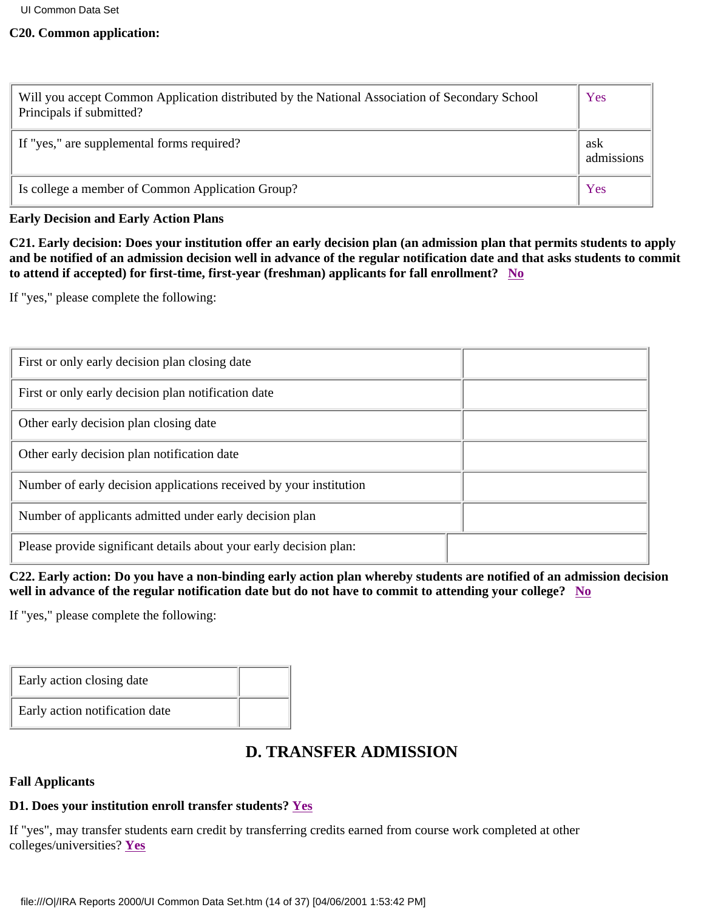### <span id="page-13-0"></span>**C20. Common application:**

| Will you accept Common Application distributed by the National Association of Secondary School<br>Principals if submitted? | Yes               |
|----------------------------------------------------------------------------------------------------------------------------|-------------------|
| If "yes," are supplemental forms required?                                                                                 | ask<br>admissions |
| Is college a member of Common Application Group?                                                                           | Yes               |

### **Early Decision and Early Action Plans**

**C21. Early decision: Does your institution offer an early decision plan (an admission plan that permits students to apply and be notified of an admission decision well in advance of the regular notification date and that asks students to commit to attend if accepted) for first-time, first-year (freshman) applicants for fall enrollment? No**

If "yes," please complete the following:

| First or only early decision plan closing date                     |  |
|--------------------------------------------------------------------|--|
| First or only early decision plan notification date                |  |
| Other early decision plan closing date                             |  |
| Other early decision plan notification date                        |  |
| Number of early decision applications received by your institution |  |
| Number of applicants admitted under early decision plan            |  |
| Please provide significant details about your early decision plan: |  |

**C22. Early action: Do you have a non-binding early action plan whereby students are notified of an admission decision well in advance of the regular notification date but do not have to commit to attending your college? No**

If "yes," please complete the following:

| Early action closing date      |  |
|--------------------------------|--|
| Early action notification date |  |

# **D. TRANSFER ADMISSION**

### **Fall Applicants**

# **D1. Does your institution enroll transfer students? Yes**

If "yes", may transfer students earn credit by transferring credits earned from course work completed at other colleges/universities? **Yes**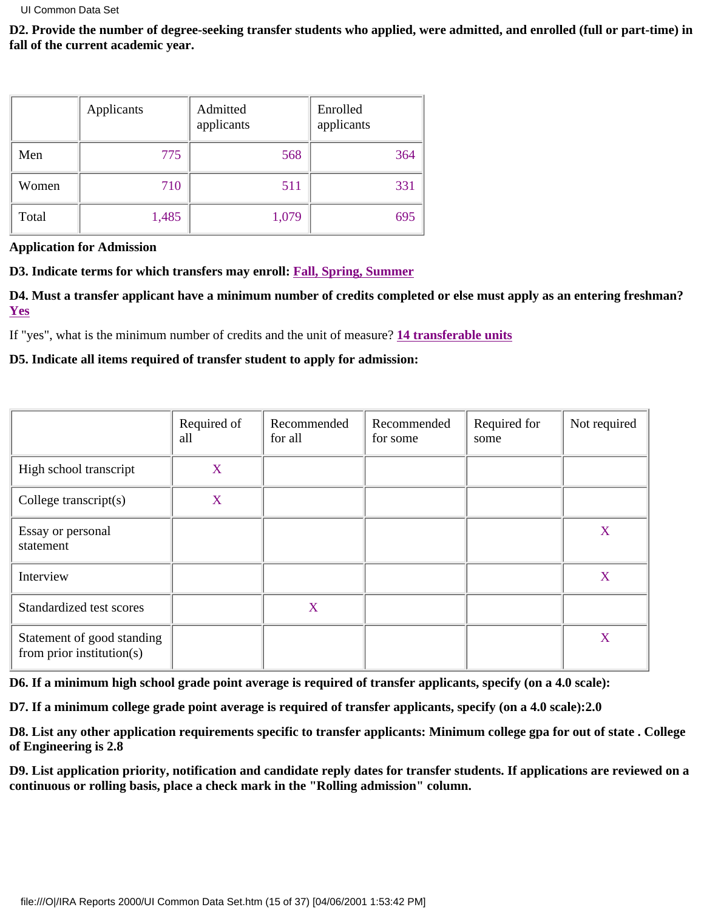**D2. Provide the number of degree-seeking transfer students who applied, were admitted, and enrolled (full or part-time) in fall of the current academic year.**

|       | Applicants | Admitted<br>applicants | Enrolled<br>applicants |
|-------|------------|------------------------|------------------------|
| Men   | 775        | 568                    | 364                    |
| Women | 710        | 511                    | 331                    |
| Total | 1,485      | 1,079                  | 695                    |

**Application for Admission**

**D3. Indicate terms for which transfers may enroll: Fall, Spring, Summer**

**D4. Must a transfer applicant have a minimum number of credits completed or else must apply as an entering freshman? Yes**

If "yes", what is the minimum number of credits and the unit of measure? **14 transferable units**

**D5. Indicate all items required of transfer student to apply for admission:**

|                                                         | Required of<br>all | Recommended<br>for all | Recommended<br>for some | Required for<br>some | Not required |
|---------------------------------------------------------|--------------------|------------------------|-------------------------|----------------------|--------------|
| High school transcript                                  | X                  |                        |                         |                      |              |
| College transcript $(s)$                                | X                  |                        |                         |                      |              |
| Essay or personal<br>statement                          |                    |                        |                         |                      | X            |
| Interview                                               |                    |                        |                         |                      | X            |
| Standardized test scores                                |                    | X                      |                         |                      |              |
| Statement of good standing<br>from prior institution(s) |                    |                        |                         |                      | X            |

**D6. If a minimum high school grade point average is required of transfer applicants, specify (on a 4.0 scale):**

**D7. If a minimum college grade point average is required of transfer applicants, specify (on a 4.0 scale):2.0**

**D8. List any other application requirements specific to transfer applicants: Minimum college gpa for out of state . College of Engineering is 2.8**

**D9. List application priority, notification and candidate reply dates for transfer students. If applications are reviewed on a continuous or rolling basis, place a check mark in the "Rolling admission" column.**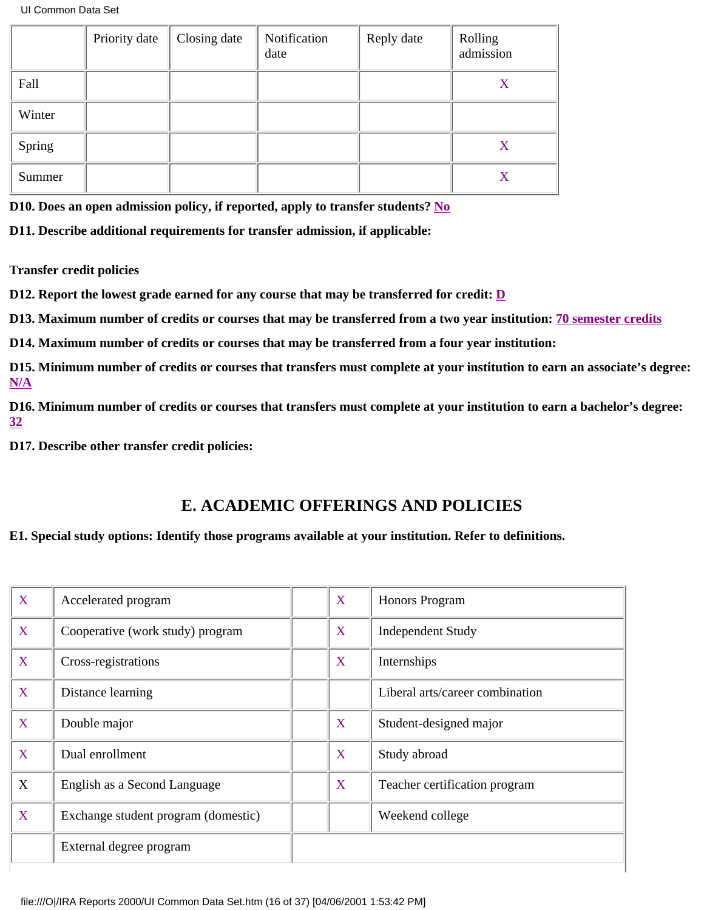<span id="page-15-0"></span>

|        | Priority date | Closing date | Notification<br>date | Reply date | Rolling<br>admission |
|--------|---------------|--------------|----------------------|------------|----------------------|
| Fall   |               |              |                      |            | X                    |
| Winter |               |              |                      |            |                      |
| Spring |               |              |                      |            | X                    |
| Summer |               |              |                      |            | X                    |

**D10. Does an open admission policy, if reported, apply to transfer students? No**

**D11. Describe additional requirements for transfer admission, if applicable:**

**Transfer credit policies**

**D12. Report the lowest grade earned for any course that may be transferred for credit: D**

**D13. Maximum number of credits or courses that may be transferred from a two year institution: 70 semester credits**

**D14. Maximum number of credits or courses that may be transferred from a four year institution:**

**D15. Minimum number of credits or courses that transfers must complete at your institution to earn an associate's degree: N/A**

**D16. Minimum number of credits or courses that transfers must complete at your institution to earn a bachelor's degree: 32**

**D17. Describe other transfer credit policies:**

# **E. ACADEMIC OFFERINGS AND POLICIES**

### **E1. Special study options: Identify those programs available at your institution. Refer to definitions.**

| X | Accelerated program                 | X | Honors Program                  |
|---|-------------------------------------|---|---------------------------------|
| X | Cooperative (work study) program    | X | <b>Independent Study</b>        |
| X | Cross-registrations                 | X | Internships                     |
| X | Distance learning                   |   | Liberal arts/career combination |
| X | Double major                        | X | Student-designed major          |
| X | Dual enrollment                     | X | Study abroad                    |
| X | English as a Second Language        | X | Teacher certification program   |
| X | Exchange student program (domestic) |   | Weekend college                 |
|   | External degree program             |   |                                 |
|   |                                     |   |                                 |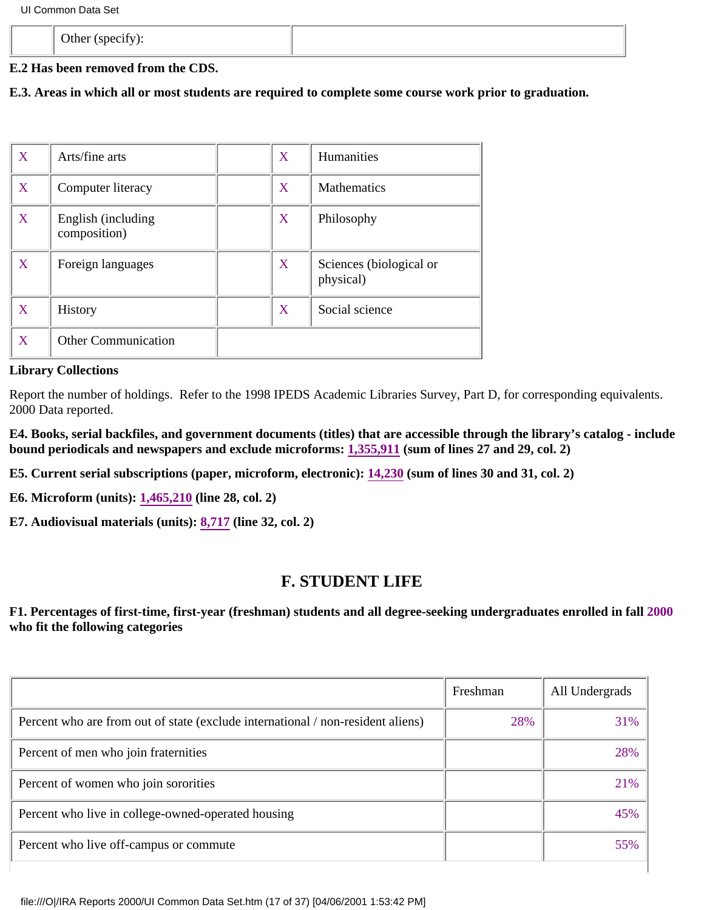<span id="page-16-0"></span>

| $\sim$ $\mu$<br>$  -$<br>- |  |
|----------------------------|--|
|                            |  |

# **E.2 Has been removed from the CDS.**

**E.3. Areas in which all or most students are required to complete some course work prior to graduation.**

| X | Arts/fine arts                     | X | Humanities                           |
|---|------------------------------------|---|--------------------------------------|
| X | Computer literacy                  | X | <b>Mathematics</b>                   |
| X | English (including<br>composition) | X | Philosophy                           |
| X | Foreign languages                  | X | Sciences (biological or<br>physical) |
| X | <b>History</b>                     | X | Social science                       |
| X | <b>Other Communication</b>         |   |                                      |

# **Library Collections**

Report the number of holdings. Refer to the 1998 IPEDS Academic Libraries Survey, Part D, for corresponding equivalents. 2000 Data reported.

**E4. Books, serial backfiles, and government documents (titles) that are accessible through the library's catalog - include bound periodicals and newspapers and exclude microforms: 1,355,911 (sum of lines 27 and 29, col. 2)**

**E5. Current serial subscriptions (paper, microform, electronic): 14,230 (sum of lines 30 and 31, col. 2)**

**E6. Microform (units): 1,465,210 (line 28, col. 2)**

**E7. Audiovisual materials (units): 8,717 (line 32, col. 2)**

# **[F. STUDENT LIFE](#page-0-1)**

**F1. Percentages of first-time, first-year (freshman) students and all degree-seeking undergraduates enrolled in fall 2000 who fit the following categories**

| Freshman | All Undergrads |
|----------|----------------|
| 28%      | 31%            |
|          | 28%            |
|          | 21%            |
|          | 45%            |
|          | 55%            |
|          |                |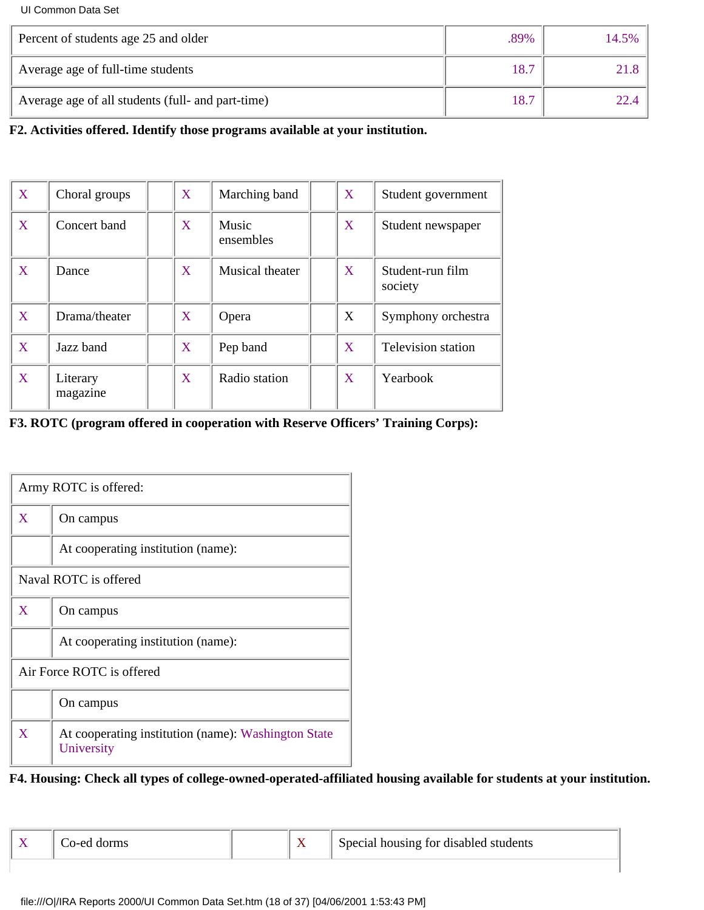| Percent of students age 25 and older              | .89% | 14.5% |
|---------------------------------------------------|------|-------|
| Average age of full-time students                 | 18.7 |       |
| Average age of all students (full- and part-time) | 18.7 |       |

**F2. Activities offered. Identify those programs available at your institution.**

| X | Choral groups        | X | Marching band      | X | Student government          |
|---|----------------------|---|--------------------|---|-----------------------------|
| X | Concert band         | X | Music<br>ensembles | X | Student newspaper           |
| X | Dance                | X | Musical theater    | X | Student-run film<br>society |
| X | Drama/theater        | X | Opera              | X | Symphony orchestra          |
| X | Jazz band            | X | Pep band           | X | <b>Television station</b>   |
| X | Literary<br>magazine | X | Radio station      | X | Yearbook                    |

# **F3. ROTC (program offered in cooperation with Reserve Officers' Training Corps):**

|   | Army ROTC is offered:                                             |  |  |  |  |  |
|---|-------------------------------------------------------------------|--|--|--|--|--|
| X | On campus                                                         |  |  |  |  |  |
|   | At cooperating institution (name):                                |  |  |  |  |  |
|   | Naval ROTC is offered                                             |  |  |  |  |  |
| X | On campus                                                         |  |  |  |  |  |
|   | At cooperating institution (name):                                |  |  |  |  |  |
|   | Air Force ROTC is offered                                         |  |  |  |  |  |
|   | On campus                                                         |  |  |  |  |  |
| X | At cooperating institution (name): Washington State<br>University |  |  |  |  |  |

### **F4. Housing: Check all types of college-owned-operated-affiliated housing available for students at your institution.**

| Co-ed dor |
|-----------|
|           |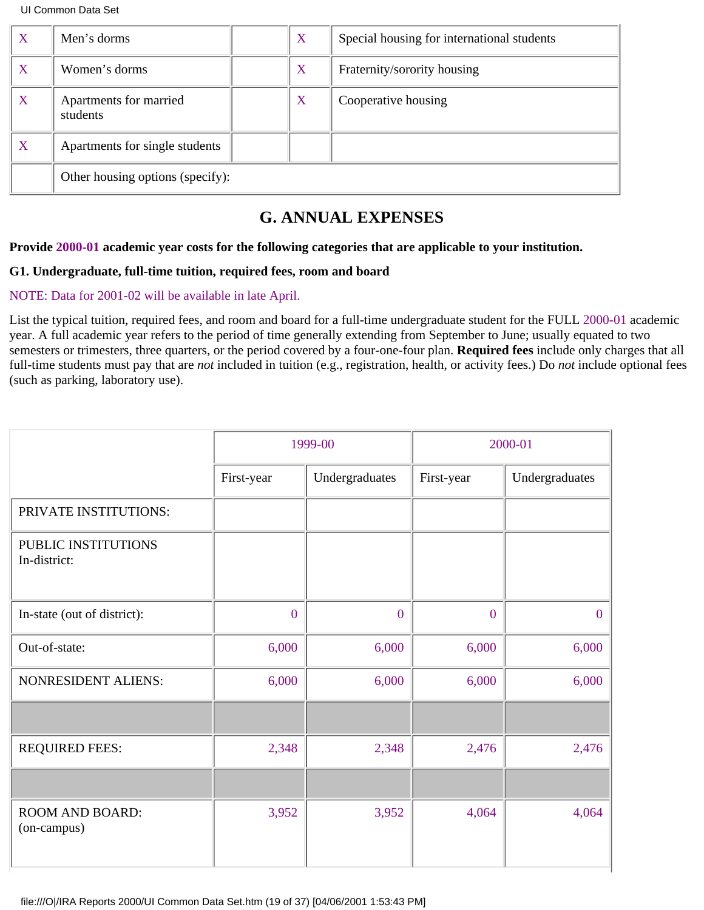<span id="page-18-0"></span>

| X | Men's dorms                        | X | Special housing for international students |
|---|------------------------------------|---|--------------------------------------------|
| X | Women's dorms                      | X | Fraternity/sorority housing                |
| X | Apartments for married<br>students | X | Cooperative housing                        |
| X | Apartments for single students     |   |                                            |
|   | Other housing options (specify):   |   |                                            |

# **G. ANNUAL EXPENSES**

### **Provide 2000-01 academic year costs for the following categories that are applicable to your institution.**

### **G1. Undergraduate, full-time tuition, required fees, room and board**

### NOTE: Data for 2001-02 will be available in late April.

List the typical tuition, required fees, and room and board for a full-time undergraduate student for the FULL 2000-01 academic year. A full academic year refers to the period of time generally extending from September to June; usually equated to two semesters or trimesters, three quarters, or the period covered by a four-one-four plan. **Required fees** include only charges that all full-time students must pay that are *not* included in tuition (e.g., registration, health, or activity fees.) Do *not* include optional fees (such as parking, laboratory use).

|                                     |                | 1999-00        | 2000-01        |                |
|-------------------------------------|----------------|----------------|----------------|----------------|
|                                     | First-year     | Undergraduates | First-year     | Undergraduates |
| PRIVATE INSTITUTIONS:               |                |                |                |                |
| PUBLIC INSTITUTIONS<br>In-district: |                |                |                |                |
| In-state (out of district):         | $\overline{0}$ | $\overline{0}$ | $\overline{0}$ | $\overline{0}$ |
| Out-of-state:                       | 6,000          | 6,000          | 6,000          | 6,000          |
| NONRESIDENT ALIENS:                 | 6,000          | 6,000          | 6,000          | 6,000          |
|                                     |                |                |                |                |
| <b>REQUIRED FEES:</b>               | 2,348          | 2,348          | 2,476          | 2,476          |
|                                     |                |                |                |                |
| ROOM AND BOARD:<br>(on-campus)      | 3,952          | 3,952          | 4,064          | 4,064          |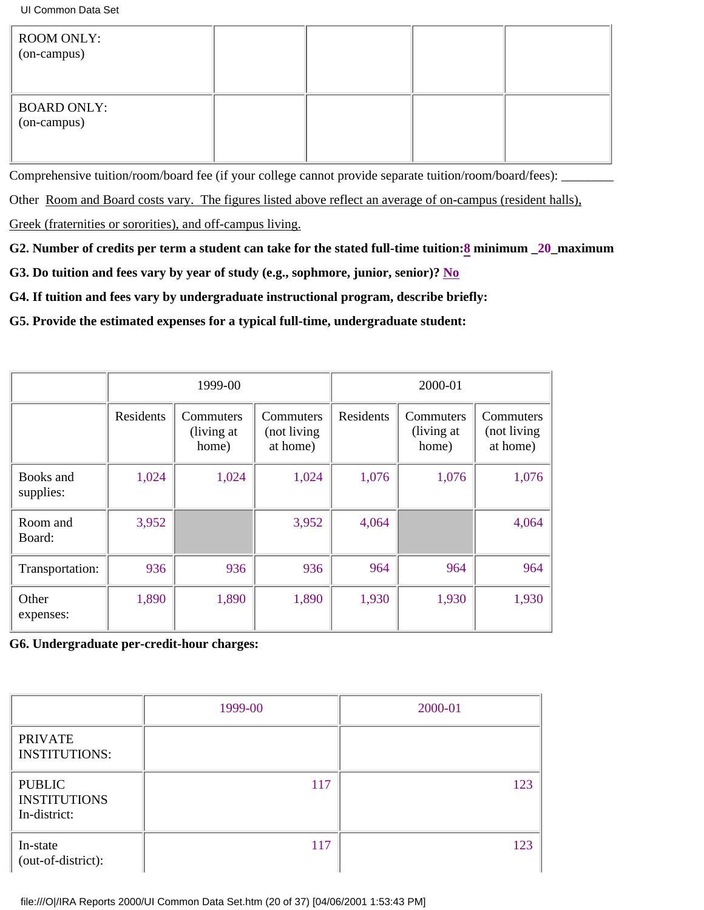| <b>ROOM ONLY:</b><br>(on-campus)  |  |  |
|-----------------------------------|--|--|
| <b>BOARD ONLY:</b><br>(on-campus) |  |  |

Comprehensive tuition/room/board fee (if your college cannot provide separate tuition/room/board/fees): \_\_\_\_\_\_\_

Other Room and Board costs vary. The figures listed above reflect an average of on-campus (resident halls),

Greek (fraternities or sororities), and off-campus living.

**G2. Number of credits per term a student can take for the stated full-time tuition:8 minimum \_20\_maximum**

**G3. Do tuition and fees vary by year of study (e.g., sophmore, junior, senior)? No**

**G4. If tuition and fees vary by undergraduate instructional program, describe briefly:**

**G5. Provide the estimated expenses for a typical full-time, undergraduate student:**

|                        |           | 1999-00                          |                                      | 2000-01   |                                  |                                      |
|------------------------|-----------|----------------------------------|--------------------------------------|-----------|----------------------------------|--------------------------------------|
|                        | Residents | Commuters<br>(living at<br>home) | Commuters<br>(not living<br>at home) | Residents | Commuters<br>(living at<br>home) | Commuters<br>(not living<br>at home) |
| Books and<br>supplies: | 1,024     | 1,024                            | 1,024                                | 1,076     | 1,076                            | 1,076                                |
| Room and<br>Board:     | 3,952     |                                  | 3,952                                | 4,064     |                                  | 4,064                                |
| Transportation:        | 936       | 936                              | 936                                  | 964       | 964                              | 964                                  |
| Other<br>expenses:     | 1,890     | 1,890                            | 1,890                                | 1,930     | 1,930                            | 1,930                                |

**G6. Undergraduate per-credit-hour charges:**

|                                                      | 1999-00 | 2000-01 |
|------------------------------------------------------|---------|---------|
| <b>PRIVATE</b><br><b>INSTITUTIONS:</b>               |         |         |
| <b>PUBLIC</b><br><b>INSTITUTIONS</b><br>In-district: | 117     | 123     |
| In-state<br>(out-of-district):                       | 117     | 123     |

file:///O|/IRA Reports 2000/UI Common Data Set.htm (20 of 37) [04/06/2001 1:53:43 PM]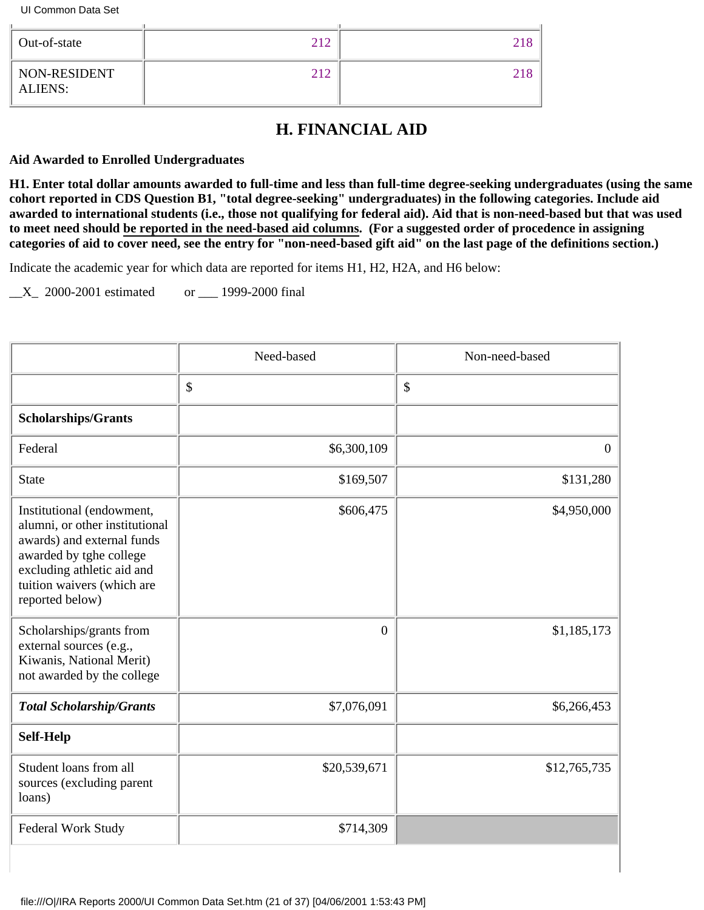<span id="page-20-0"></span>

| Out-of-state                   | 212 | 218 |
|--------------------------------|-----|-----|
| NON-RESIDENT<br><b>ALIENS:</b> | 212 | 218 |

# **H. FINANCIAL AID**

### **Aid Awarded to Enrolled Undergraduates**

**H1. Enter total dollar amounts awarded to full-time and less than full-time degree-seeking undergraduates (using the same cohort reported in CDS Question B1, "total degree-seeking" undergraduates) in the following categories. Include aid awarded to international students (i.e., those not qualifying for federal aid). Aid that is non-need-based but that was used to meet need should be reported in the need-based aid columns. (For a suggested order of procedence in assigning categories of aid to cover need, see the entry for "non-need-based gift aid" on the last page of the definitions section.)**

Indicate the academic year for which data are reported for items H1, H2, H2A, and H6 below:

 $\_X_$  2000-2001 estimated or  $\_$  1999-2000 final

|                                                                                                                                                                                                     | Need-based     | Non-need-based |
|-----------------------------------------------------------------------------------------------------------------------------------------------------------------------------------------------------|----------------|----------------|
|                                                                                                                                                                                                     | \$             | $\mathbb{S}$   |
| <b>Scholarships/Grants</b>                                                                                                                                                                          |                |                |
| Federal                                                                                                                                                                                             | \$6,300,109    | $\overline{0}$ |
| <b>State</b>                                                                                                                                                                                        | \$169,507      | \$131,280      |
| Institutional (endowment,<br>alumni, or other institutional<br>awards) and external funds<br>awarded by tghe college<br>excluding athletic aid and<br>tuition waivers (which are<br>reported below) | \$606,475      | \$4,950,000    |
| Scholarships/grants from<br>external sources (e.g.,<br>Kiwanis, National Merit)<br>not awarded by the college                                                                                       | $\overline{0}$ | \$1,185,173    |
| <b>Total Scholarship/Grants</b>                                                                                                                                                                     | \$7,076,091    | \$6,266,453    |
| <b>Self-Help</b>                                                                                                                                                                                    |                |                |
| Student loans from all<br>sources (excluding parent<br>loans)                                                                                                                                       | \$20,539,671   | \$12,765,735   |
| <b>Federal Work Study</b>                                                                                                                                                                           | \$714,309      |                |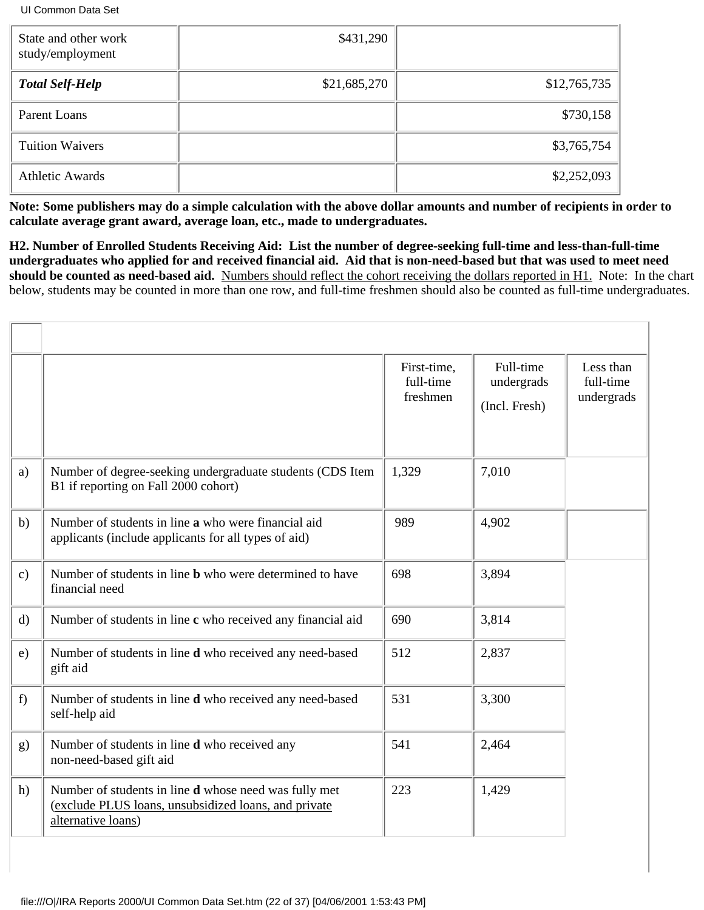| State and other work<br>study/employment | \$431,290    |              |
|------------------------------------------|--------------|--------------|
| <b>Total Self-Help</b>                   | \$21,685,270 | \$12,765,735 |
| Parent Loans                             |              | \$730,158    |
| <b>Tuition Waivers</b>                   |              | \$3,765,754  |
| <b>Athletic Awards</b>                   |              | \$2,252,093  |

**Note: Some publishers may do a simple calculation with the above dollar amounts and number of recipients in order to calculate average grant award, average loan, etc., made to undergraduates.**

**H2. Number of Enrolled Students Receiving Aid: List the number of degree-seeking full-time and less-than-full-time undergraduates who applied for and received financial aid. Aid that is non-need-based but that was used to meet need should be counted as need-based aid.** Numbers should reflect the cohort receiving the dollars reported in H1. Note: In the chart below, students may be counted in more than one row, and full-time freshmen should also be counted as full-time undergraduates.

|               |                                                                                                                                            | First-time,<br>full-time<br>freshmen | Full-time<br>undergrads<br>(Incl. Fresh) | Less than<br>full-time<br>undergrads |
|---------------|--------------------------------------------------------------------------------------------------------------------------------------------|--------------------------------------|------------------------------------------|--------------------------------------|
| a)            | Number of degree-seeking undergraduate students (CDS Item<br>B1 if reporting on Fall 2000 cohort)                                          | 1,329                                | 7,010                                    |                                      |
| b)            | Number of students in line a who were financial aid<br>applicants (include applicants for all types of aid)                                | 989                                  | 4,902                                    |                                      |
| $\mathbf{c})$ | Number of students in line <b>b</b> who were determined to have<br>financial need                                                          | 698                                  | 3,894                                    |                                      |
| $\mathbf{d}$  | Number of students in line c who received any financial aid                                                                                | 690                                  | 3,814                                    |                                      |
| e)            | Number of students in line <b>d</b> who received any need-based<br>gift aid                                                                | 512                                  | 2,837                                    |                                      |
| f)            | Number of students in line <b>d</b> who received any need-based<br>self-help aid                                                           | 531                                  | 3,300                                    |                                      |
| g)            | Number of students in line <b>d</b> who received any<br>non-need-based gift aid                                                            | 541                                  | 2,464                                    |                                      |
| h)            | Number of students in line <b>d</b> whose need was fully met<br>(exclude PLUS loans, unsubsidized loans, and private<br>alternative loans) | 223                                  | 1,429                                    |                                      |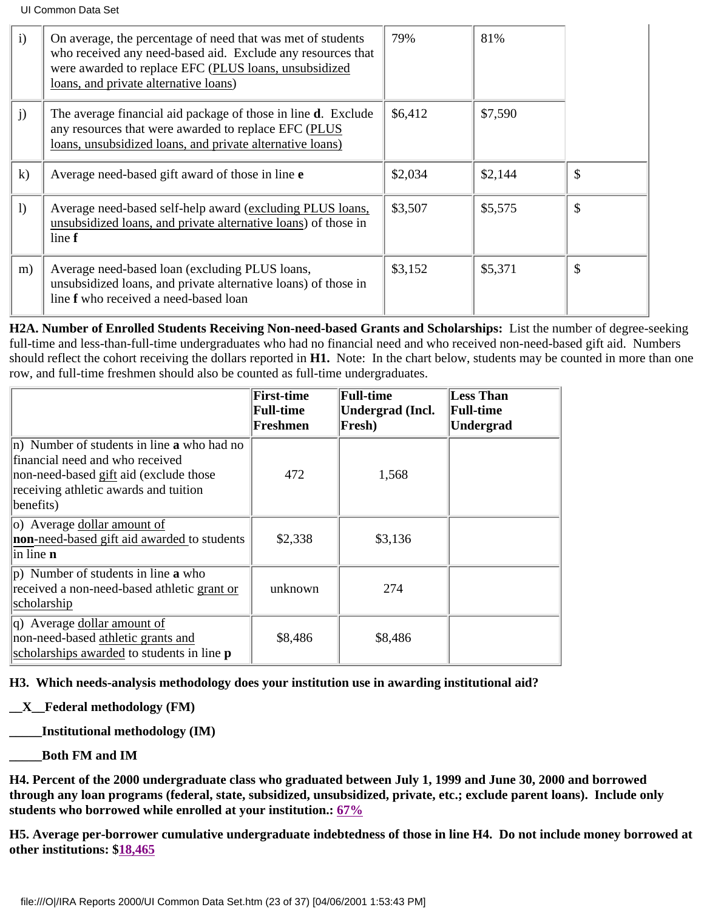| $\mathbf{i}$ | On average, the percentage of need that was met of students<br>who received any need-based aid. Exclude any resources that<br>were awarded to replace EFC (PLUS loans, unsubsidized<br>loans, and private alternative loans) | 79%     | 81%     |    |
|--------------|------------------------------------------------------------------------------------------------------------------------------------------------------------------------------------------------------------------------------|---------|---------|----|
| j)           | The average financial aid package of those in line <b>d</b> . Exclude<br>any resources that were awarded to replace EFC (PLUS)<br>loans, unsubsidized loans, and private alternative loans)                                  | \$6,412 | \$7,590 |    |
| $\mathbf{k}$ | Average need-based gift award of those in line e                                                                                                                                                                             | \$2,034 | \$2,144 | \$ |
| 1)           | Average need-based self-help award (excluding PLUS loans,<br>unsubsidized loans, and private alternative loans) of those in<br>line f                                                                                        | \$3,507 | \$5,575 | \$ |
| m)           | Average need-based loan (excluding PLUS loans,<br>unsubsidized loans, and private alternative loans) of those in<br>line f who received a need-based loan                                                                    | \$3,152 | \$5,371 | \$ |

**H2A. Number of Enrolled Students Receiving Non-need-based Grants and Scholarships:** List the number of degree-seeking full-time and less-than-full-time undergraduates who had no financial need and who received non-need-based gift aid. Numbers should reflect the cohort receiving the dollars reported in **H1.** Note: In the chart below, students may be counted in more than one row, and full-time freshmen should also be counted as full-time undergraduates.

|                                                                                                                                                                                      | <b>First-time</b><br><b>Full-time</b><br>Freshmen | <b>Full-time</b><br>Undergrad (Incl.<br>Fresh) | <b>Less Than</b><br><b>Full-time</b><br><b>Undergrad</b> |
|--------------------------------------------------------------------------------------------------------------------------------------------------------------------------------------|---------------------------------------------------|------------------------------------------------|----------------------------------------------------------|
| n) Number of students in line <b>a</b> who had no<br>financial need and who received<br>non-need-based gift aid (exclude those<br>receiving athletic awards and tuition<br>benefits) | 472                                               | 1,568                                          |                                                          |
| $ o\rangle$ Average dollar amount of<br>non-need-based gift aid awarded to students<br>$\ln$ line <b>n</b>                                                                           | \$2,338                                           | \$3,136                                        |                                                          |
| (p) Number of students in line <b>a</b> who<br>received a non-need-based athletic grant or<br>scholarship                                                                            | unknown                                           | 274                                            |                                                          |
| $ q\rangle$ Average dollar amount of<br>non-need-based athletic grants and<br>scholarships awarded to students in line p                                                             | \$8,486                                           | \$8,486                                        |                                                          |

**H3. Which needs-analysis methodology does your institution use in awarding institutional aid?**

# **\_\_X\_\_Federal methodology (FM)**

**\_\_\_\_\_Institutional methodology (IM)**

**\_\_\_\_\_Both FM and IM**

**H4. Percent of the 2000 undergraduate class who graduated between July 1, 1999 and June 30, 2000 and borrowed through any loan programs (federal, state, subsidized, unsubsidized, private, etc.; exclude parent loans). Include only students who borrowed while enrolled at your institution.: 67%**

**H5. Average per-borrower cumulative undergraduate indebtedness of those in line H4. Do not include money borrowed at other institutions: \$18,465**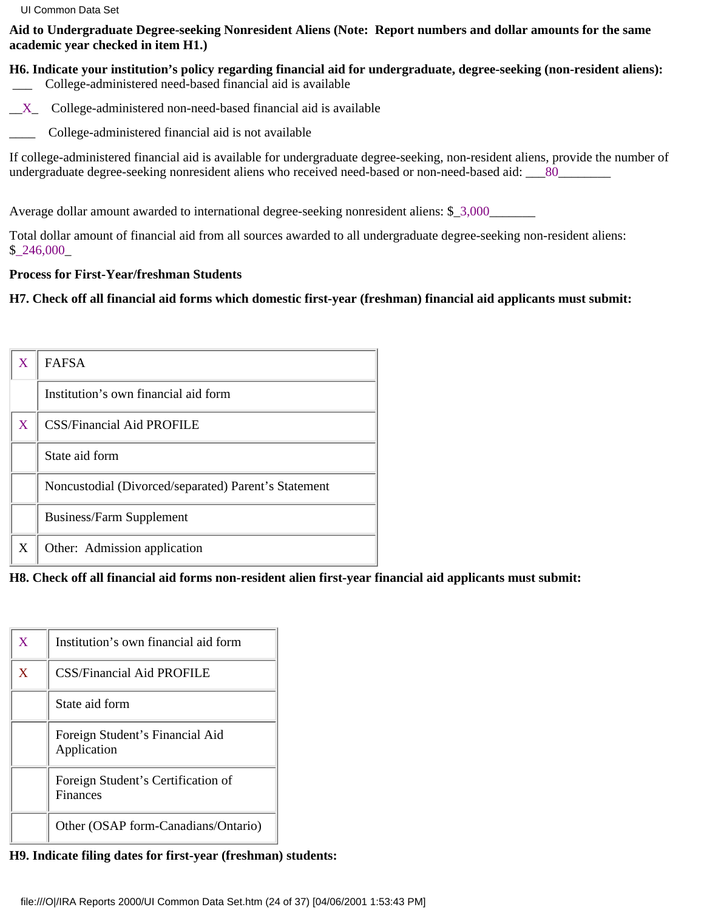**Aid to Undergraduate Degree-seeking Nonresident Aliens (Note: Report numbers and dollar amounts for the same academic year checked in item H1.)**

**H6. Indicate your institution's policy regarding financial aid for undergraduate, degree-seeking (non-resident aliens):** \_\_\_ College-administered need-based financial aid is available

- $X_$  College-administered non-need-based financial aid is available
- College-administered financial aid is not available

If college-administered financial aid is available for undergraduate degree-seeking, non-resident aliens, provide the number of undergraduate degree-seeking nonresident aliens who received need-based or non-need-based aid: \_\_\_80\_\_\_\_\_\_\_\_\_

Average dollar amount awarded to international degree-seeking nonresident aliens: \$\_3,000\_\_\_\_\_\_\_\_

Total dollar amount of financial aid from all sources awarded to all undergraduate degree-seeking non-resident aliens: \$\_246,000\_

# **Process for First-Year/freshman Students**

**H7. Check off all financial aid forms which domestic first-year (freshman) financial aid applicants must submit:**

| X | <b>FAFSA</b>                                         |
|---|------------------------------------------------------|
|   | Institution's own financial aid form                 |
| X | <b>CSS/Financial Aid PROFILE</b>                     |
|   | State aid form                                       |
|   | Noncustodial (Divorced/separated) Parent's Statement |
|   | Business/Farm Supplement                             |
| X | Other: Admission application                         |

**H8. Check off all financial aid forms non-resident alien first-year financial aid applicants must submit:**

| $\mathbf X$  | Institution's own financial aid form           |
|--------------|------------------------------------------------|
| $\mathbf{X}$ | <b>CSS/Financial Aid PROFILE</b>               |
|              | State aid form                                 |
|              | Foreign Student's Financial Aid<br>Application |
|              | Foreign Student's Certification of<br>Finances |
|              | Other (OSAP form-Canadians/Ontario)            |

**H9. Indicate filing dates for first-year (freshman) students:**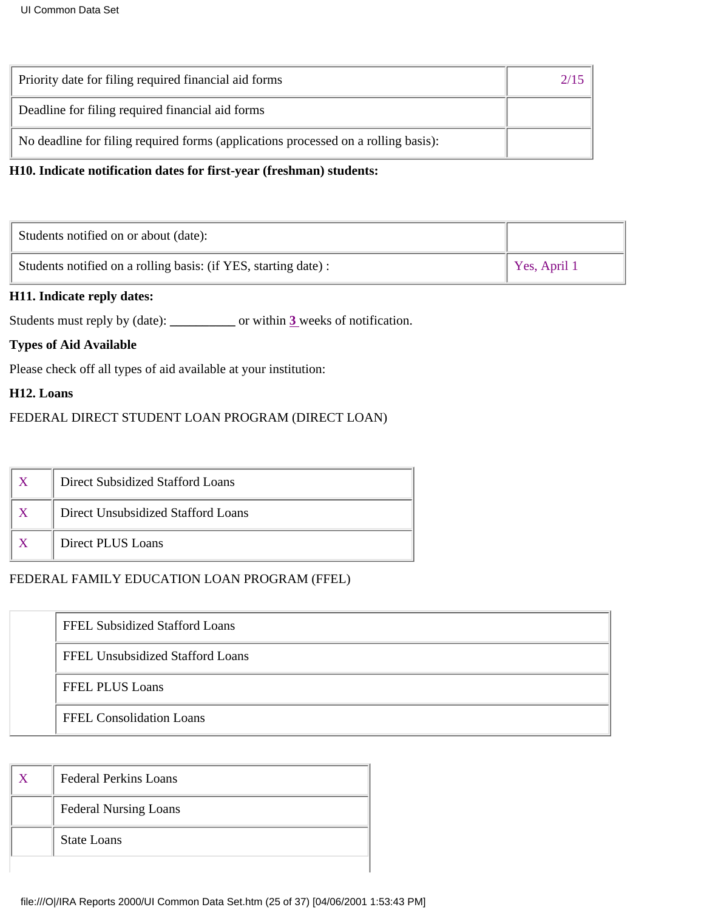| Priority date for filing required financial aid forms                              |  |
|------------------------------------------------------------------------------------|--|
| Deadline for filing required financial aid forms                                   |  |
| No deadline for filing required forms (applications processed on a rolling basis): |  |

### **H10. Indicate notification dates for first-year (freshman) students:**

| Students notified on or about (date):                           |              |
|-----------------------------------------------------------------|--------------|
| Students notified on a rolling basis: (if YES, starting date) : | Yes, April 1 |

### **H11. Indicate reply dates:**

Students must reply by (date): **\_\_\_\_\_\_\_\_\_\_** or within **3** weeks of notification.

# **Types of Aid Available**

Please check off all types of aid available at your institution:

### **H12. Loans**

# FEDERAL DIRECT STUDENT LOAN PROGRAM (DIRECT LOAN)

| Direct Subsidized Stafford Loans   |
|------------------------------------|
| Direct Unsubsidized Stafford Loans |
| Direct PLUS Loans                  |

### FEDERAL FAMILY EDUCATION LOAN PROGRAM (FFEL)

| FFEL Subsidized Stafford Loans   |  |
|----------------------------------|--|
| FFEL Unsubsidized Stafford Loans |  |
| <b>FFEL PLUS Loans</b>           |  |
| <b>FFEL Consolidation Loans</b>  |  |

| <b>Federal Perkins Loans</b> |
|------------------------------|
| <b>Federal Nursing Loans</b> |
| <b>State Loans</b>           |
|                              |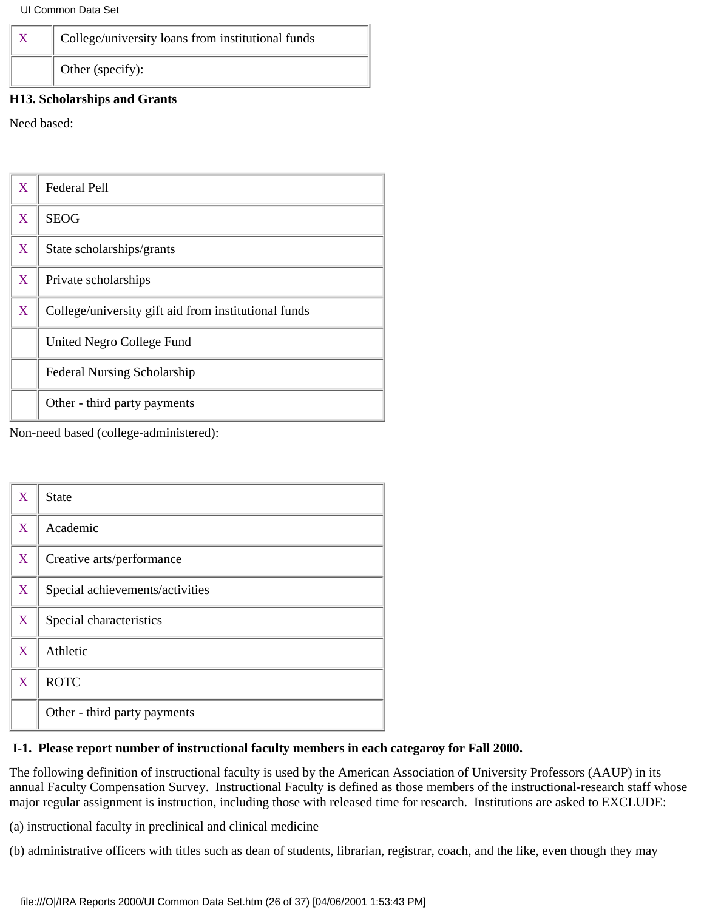| College/university loans from institutional funds |
|---------------------------------------------------|
| Other (specify):                                  |

### **H13. Scholarships and Grants**

Need based:

| $\overline{\text{X}}$ | <b>Federal Pell</b>                                  |
|-----------------------|------------------------------------------------------|
| X                     | <b>SEOG</b>                                          |
| X                     | State scholarships/grants                            |
| X                     | Private scholarships                                 |
| X                     | College/university gift aid from institutional funds |
|                       | United Negro College Fund                            |
|                       | <b>Federal Nursing Scholarship</b>                   |
|                       | Other - third party payments                         |

Non-need based (college-administered):

| X | <b>State</b>                    |
|---|---------------------------------|
| X | Academic                        |
| X | Creative arts/performance       |
| X | Special achievements/activities |
| X | Special characteristics         |
| X | Athletic                        |
| X | <b>ROTC</b>                     |
|   | Other - third party payments    |

### **I-1. Please report number of instructional faculty members in each categaroy for Fall 2000.**

The following definition of instructional faculty is used by the American Association of University Professors (AAUP) in its annual Faculty Compensation Survey. Instructional Faculty is defined as those members of the instructional-research staff whose major regular assignment is instruction, including those with released time for research. Institutions are asked to EXCLUDE:

(a) instructional faculty in preclinical and clinical medicine

(b) administrative officers with titles such as dean of students, librarian, registrar, coach, and the like, even though they may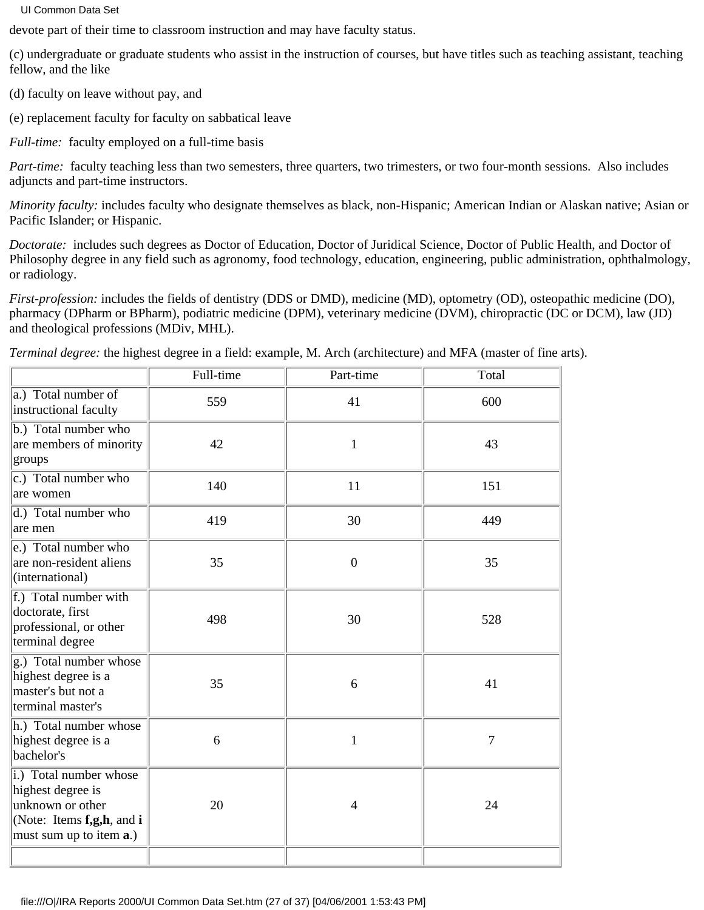devote part of their time to classroom instruction and may have faculty status.

(c) undergraduate or graduate students who assist in the instruction of courses, but have titles such as teaching assistant, teaching fellow, and the like

(d) faculty on leave without pay, and

(e) replacement faculty for faculty on sabbatical leave

*Full-time:* faculty employed on a full-time basis

*Part-time:* faculty teaching less than two semesters, three quarters, two trimesters, or two four-month sessions. Also includes adjuncts and part-time instructors.

*Minority faculty:* includes faculty who designate themselves as black, non-Hispanic; American Indian or Alaskan native; Asian or Pacific Islander; or Hispanic.

*Doctorate:* includes such degrees as Doctor of Education, Doctor of Juridical Science, Doctor of Public Health, and Doctor of Philosophy degree in any field such as agronomy, food technology, education, engineering, public administration, ophthalmology, or radiology.

*First-profession:* includes the fields of dentistry (DDS or DMD), medicine (MD), optometry (OD), osteopathic medicine (DO), pharmacy (DPharm or BPharm), podiatric medicine (DPM), veterinary medicine (DVM), chiropractic (DC or DCM), law (JD) and theological professions (MDiv, MHL).

*Terminal degree:* the highest degree in a field: example, M. Arch (architecture) and MFA (master of fine arts).

|                                                                                                                                 | Full-time | Part-time        | Total |
|---------------------------------------------------------------------------------------------------------------------------------|-----------|------------------|-------|
| a.) Total number of<br>instructional faculty                                                                                    | 559       | 41               | 600   |
| b.) Total number who<br>are members of minority<br>groups                                                                       | 42        | $\mathbf{1}$     | 43    |
| $ c $ .) Total number who<br>are women                                                                                          | 140       | 11               | 151   |
| d.) Total number who<br>lare men                                                                                                | 419       | 30               | 449   |
| e.) Total number who<br>are non-resident aliens<br>(international)                                                              | 35        | $\boldsymbol{0}$ | 35    |
| f.) Total number with<br>doctorate, first<br>professional, or other<br>terminal degree                                          | 498       | 30               | 528   |
| g.) Total number whose<br>highest degree is a<br>master's but not a<br>terminal master's                                        | 35        | 6                | 41    |
| h.) Total number whose<br>highest degree is a<br>bachelor's                                                                     | 6         | $\mathbf{1}$     | 7     |
| i.) Total number whose<br>highest degree is<br>unknown or other<br>(Note: Items $f, g, h$ , and i<br>must sum up to item $a$ .) | 20        | $\overline{4}$   | 24    |
|                                                                                                                                 |           |                  |       |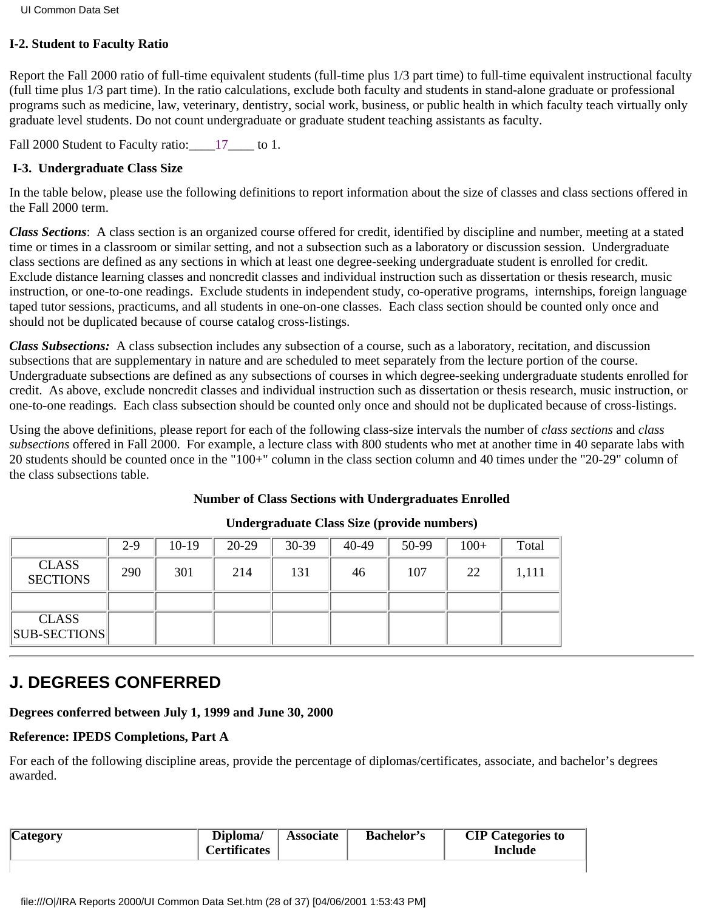### **I-2. Student to Faculty Ratio**

Report the Fall 2000 ratio of full-time equivalent students (full-time plus 1/3 part time) to full-time equivalent instructional faculty (full time plus 1/3 part time). In the ratio calculations, exclude both faculty and students in stand-alone graduate or professional programs such as medicine, law, veterinary, dentistry, social work, business, or public health in which faculty teach virtually only graduate level students. Do not count undergraduate or graduate student teaching assistants as faculty.

Fall 2000 Student to Faculty ratio: 17 to 1.

### **I-3. Undergraduate Class Size**

In the table below, please use the following definitions to report information about the size of classes and class sections offered in the Fall 2000 term.

*Class Sections*: A class section is an organized course offered for credit, identified by discipline and number, meeting at a stated time or times in a classroom or similar setting, and not a subsection such as a laboratory or discussion session. Undergraduate class sections are defined as any sections in which at least one degree-seeking undergraduate student is enrolled for credit. Exclude distance learning classes and noncredit classes and individual instruction such as dissertation or thesis research, music instruction, or one-to-one readings. Exclude students in independent study, co-operative programs, internships, foreign language taped tutor sessions, practicums, and all students in one-on-one classes. Each class section should be counted only once and should not be duplicated because of course catalog cross-listings.

*Class Subsections:* A class subsection includes any subsection of a course, such as a laboratory, recitation, and discussion subsections that are supplementary in nature and are scheduled to meet separately from the lecture portion of the course. Undergraduate subsections are defined as any subsections of courses in which degree-seeking undergraduate students enrolled for credit. As above, exclude noncredit classes and individual instruction such as dissertation or thesis research, music instruction, or one-to-one readings. Each class subsection should be counted only once and should not be duplicated because of cross-listings.

Using the above definitions, please report for each of the following class-size intervals the number of *class sections* and *class subsections* offered in Fall 2000. For example, a lecture class with 800 students who met at another time in 40 separate labs with 20 students should be counted once in the "100+" column in the class section column and 40 times under the "20-29" column of the class subsections table.

### **Number of Class Sections with Undergraduates Enrolled**

|                                     | $2 - 9$ | $10-19$ | $20-29$ | 30-39 | 40-49 | 50-99 | $100+$ | Total |
|-------------------------------------|---------|---------|---------|-------|-------|-------|--------|-------|
| <b>CLASS</b><br><b>SECTIONS</b>     | 290     | 301     | 214     | 131   | 46    | 107   | 22     | 1,111 |
|                                     |         |         |         |       |       |       |        |       |
| <b>CLASS</b><br><b>SUB-SECTIONS</b> |         |         |         |       |       |       |        |       |

### **Undergraduate Class Size (provide numbers)**

# **J. DEGREES CONFERRED**

### **Degrees conferred between July 1, 1999 and June 30, 2000**

### **Reference: IPEDS Completions, Part A**

For each of the following discipline areas, provide the percentage of diplomas/certificates, associate, and bachelor's degrees awarded.

| <b>Category</b><br>Diploma/<br><b>Certificates</b> |  | <b>Associate</b> | <b>Bachelor's</b> | <b>CIP</b> Categories to<br>Include |
|----------------------------------------------------|--|------------------|-------------------|-------------------------------------|
|                                                    |  |                  |                   |                                     |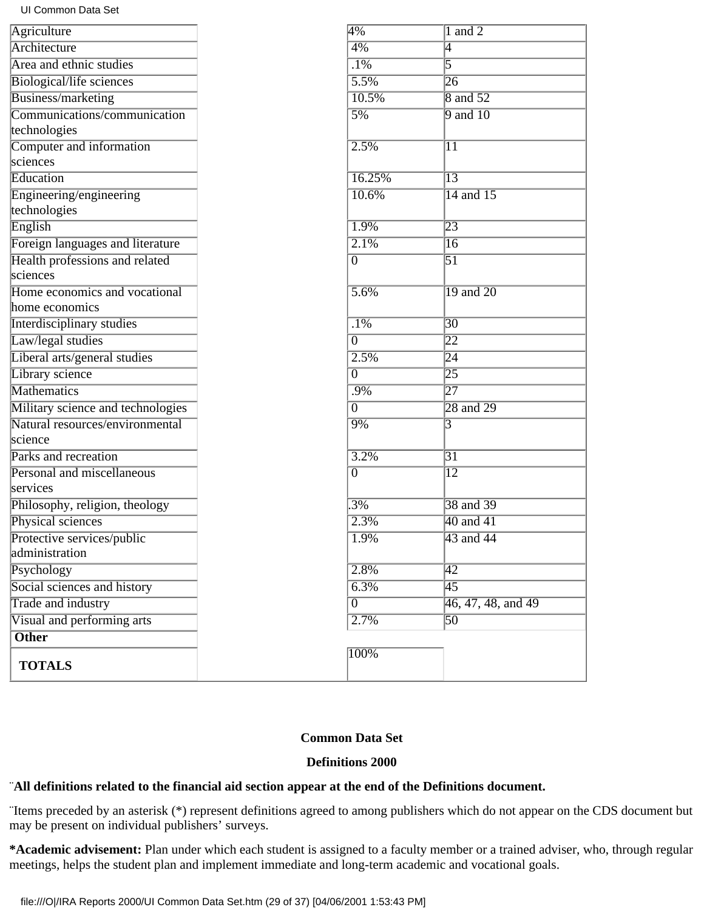| Agriculture                       | 4%                 | $1$ and $2$                         |
|-----------------------------------|--------------------|-------------------------------------|
| Architecture                      | $4\%$              | $\overline{\mathsf{4}}$             |
| Area and ethnic studies           | $\overline{.1\%}$  | 5                                   |
| Biological/life sciences          | $\overline{5.5\%}$ | $\overline{26}$                     |
| Business/marketing                | 10.5%              | <b>8</b> and 52                     |
| Communications/communication      | 5%                 | $9$ and $10$                        |
| technologies                      |                    |                                     |
| Computer and information          | 2.5%               | $\overline{11}$                     |
| sciences                          |                    |                                     |
| Education                         | 16.25%             | $\overline{13}$                     |
| Engineering/engineering           | 10.6%              | 14 and 15                           |
| technologies                      |                    |                                     |
| English                           | 1.9%               | $\overline{23}$                     |
| Foreign languages and literature  | 2.1%               | $\overline{16}$                     |
| Health professions and related    | $\overline{0}$     | $\overline{51}$                     |
| sciences                          |                    |                                     |
| Home economics and vocational     | 5.6%               | $\overline{19}$ and $\overline{20}$ |
| home economics                    |                    |                                     |
| <b>Interdisciplinary studies</b>  | $\overline{.1\%}$  | $\overline{30}$                     |
| Law/legal studies                 | $\overline{0}$     | $\overline{22}$                     |
| Liberal arts/general studies      | 2.5%               | $\overline{24}$                     |
| Library science                   | $\overline{0}$     | $\overline{25}$                     |
| <b>Mathematics</b>                | .9%                | $\overline{27}$                     |
| Military science and technologies | $\overline{0}$     | $\sqrt{28}$ and $\sqrt{29}$         |
| Natural resources/environmental   | 9%                 | 3                                   |
| science                           |                    |                                     |
| Parks and recreation              | 3.2%               | $\overline{31}$                     |
| Personal and miscellaneous        | $\overline{0}$     | $\overline{12}$                     |
| services                          |                    |                                     |
| Philosophy, religion, theology    | $.3\%$             | 38 and 39                           |
| Physical sciences                 | 2.3%               | $40$ and $41$                       |
| Protective services/public        | 1.9%               | 43 and 44                           |
| administration                    |                    |                                     |
| Psychology                        | 2.8%               | $\overline{42}$                     |
| Social sciences and history       | 6.3%               | $\overline{45}$                     |
| <b>Trade and industry</b>         | $\overline{0}$     | 46, 47, 48, and 49                  |
| Visual and performing arts        | 2.7%               | $\overline{50}$                     |
| <b>Other</b>                      |                    |                                     |
| <b>TOTALS</b>                     | 100%               |                                     |

### **Common Data Set**

### **Definitions 2000**

# ¨**All definitions related to the financial aid section appear at the end of the Definitions document.**

¨Items preceded by an asterisk (\*) represent definitions agreed to among publishers which do not appear on the CDS document but may be present on individual publishers' surveys.

**\*Academic advisement:** Plan under which each student is assigned to a faculty member or a trained adviser, who, through regular meetings, helps the student plan and implement immediate and long-term academic and vocational goals.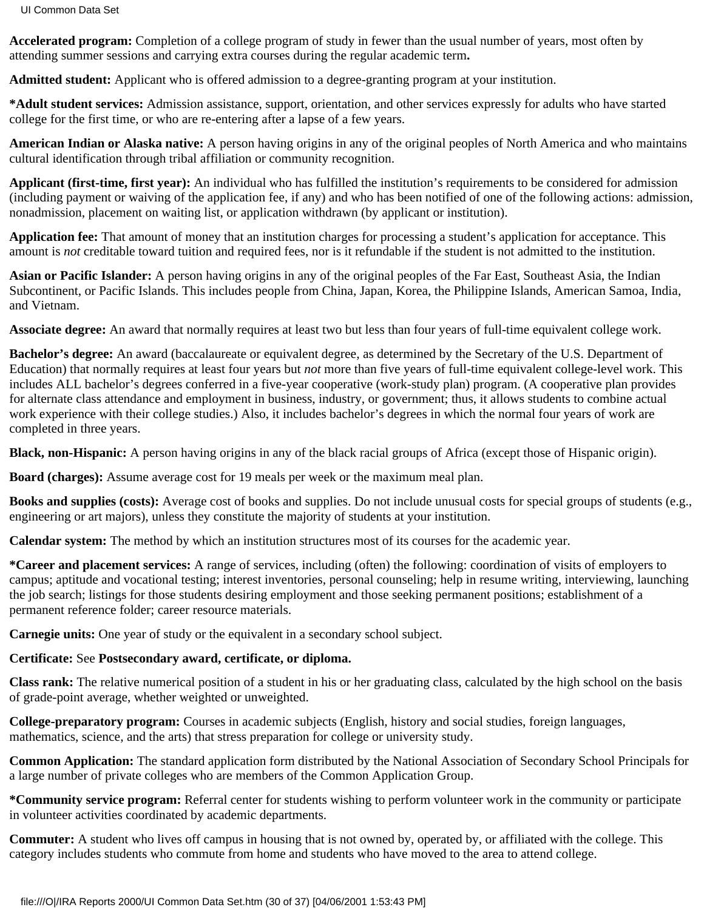**Accelerated program:** Completion of a college program of study in fewer than the usual number of years, most often by attending summer sessions and carrying extra courses during the regular academic term**.**

**Admitted student:** Applicant who is offered admission to a degree-granting program at your institution.

**\*Adult student services:** Admission assistance, support, orientation, and other services expressly for adults who have started college for the first time, or who are re-entering after a lapse of a few years.

**American Indian or Alaska native:** A person having origins in any of the original peoples of North America and who maintains cultural identification through tribal affiliation or community recognition.

**Applicant (first-time, first year):** An individual who has fulfilled the institution's requirements to be considered for admission (including payment or waiving of the application fee, if any) and who has been notified of one of the following actions: admission, nonadmission, placement on waiting list, or application withdrawn (by applicant or institution).

**Application fee:** That amount of money that an institution charges for processing a student's application for acceptance. This amount is *not* creditable toward tuition and required fees, nor is it refundable if the student is not admitted to the institution.

**Asian or Pacific Islander:** A person having origins in any of the original peoples of the Far East, Southeast Asia, the Indian Subcontinent, or Pacific Islands. This includes people from China, Japan, Korea, the Philippine Islands, American Samoa, India, and Vietnam.

**Associate degree:** An award that normally requires at least two but less than four years of full-time equivalent college work.

**Bachelor's degree:** An award (baccalaureate or equivalent degree, as determined by the Secretary of the U.S. Department of Education) that normally requires at least four years but *not* more than five years of full-time equivalent college-level work. This includes ALL bachelor's degrees conferred in a five-year cooperative (work-study plan) program. (A cooperative plan provides for alternate class attendance and employment in business, industry, or government; thus, it allows students to combine actual work experience with their college studies.) Also, it includes bachelor's degrees in which the normal four years of work are completed in three years.

**Black, non-Hispanic:** A person having origins in any of the black racial groups of Africa (except those of Hispanic origin).

**Board (charges):** Assume average cost for 19 meals per week or the maximum meal plan.

**Books and supplies (costs):** Average cost of books and supplies. Do not include unusual costs for special groups of students (e.g., engineering or art majors), unless they constitute the majority of students at your institution.

**Calendar system:** The method by which an institution structures most of its courses for the academic year.

**\*Career and placement services:** A range of services, including (often) the following: coordination of visits of employers to campus; aptitude and vocational testing; interest inventories, personal counseling; help in resume writing, interviewing, launching the job search; listings for those students desiring employment and those seeking permanent positions; establishment of a permanent reference folder; career resource materials.

**Carnegie units:** One year of study or the equivalent in a secondary school subject.

# **Certificate:** See **Postsecondary award, certificate, or diploma.**

**Class rank:** The relative numerical position of a student in his or her graduating class, calculated by the high school on the basis of grade-point average, whether weighted or unweighted.

**College-preparatory program:** Courses in academic subjects (English, history and social studies, foreign languages, mathematics, science, and the arts) that stress preparation for college or university study.

**Common Application:** The standard application form distributed by the National Association of Secondary School Principals for a large number of private colleges who are members of the Common Application Group.

**\*Community service program:** Referral center for students wishing to perform volunteer work in the community or participate in volunteer activities coordinated by academic departments.

**Commuter:** A student who lives off campus in housing that is not owned by, operated by, or affiliated with the college. This category includes students who commute from home and students who have moved to the area to attend college.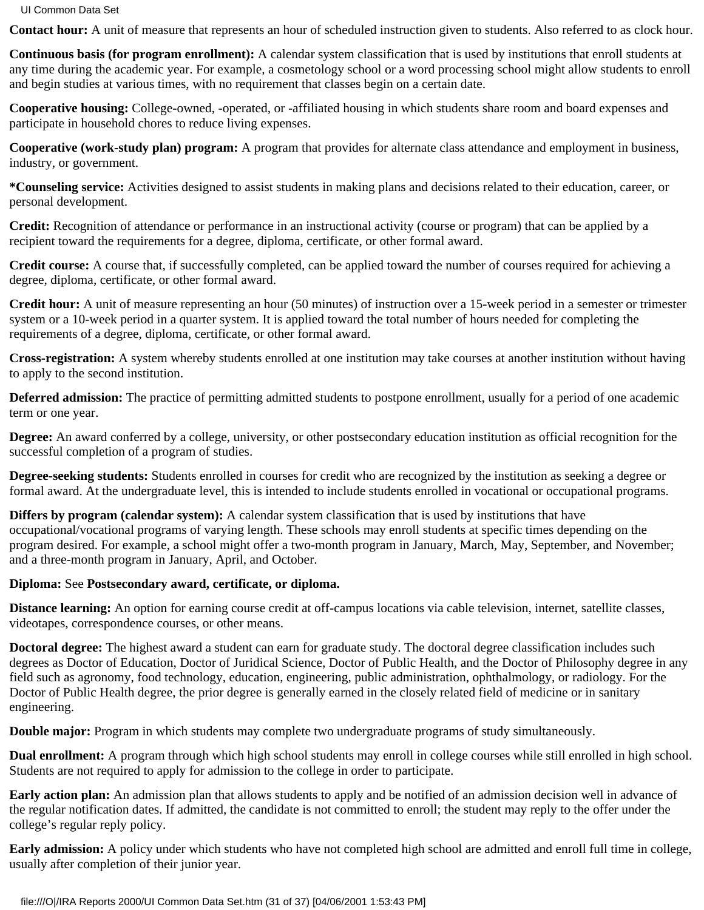**Contact hour:** A unit of measure that represents an hour of scheduled instruction given to students. Also referred to as clock hour.

**Continuous basis (for program enrollment):** A calendar system classification that is used by institutions that enroll students at any time during the academic year. For example, a cosmetology school or a word processing school might allow students to enroll and begin studies at various times, with no requirement that classes begin on a certain date.

**Cooperative housing:** College-owned, -operated, or -affiliated housing in which students share room and board expenses and participate in household chores to reduce living expenses.

**Cooperative (work-study plan) program:** A program that provides for alternate class attendance and employment in business, industry, or government.

**\*Counseling service:** Activities designed to assist students in making plans and decisions related to their education, career, or personal development.

**Credit:** Recognition of attendance or performance in an instructional activity (course or program) that can be applied by a recipient toward the requirements for a degree, diploma, certificate, or other formal award.

**Credit course:** A course that, if successfully completed, can be applied toward the number of courses required for achieving a degree, diploma, certificate, or other formal award.

**Credit hour:** A unit of measure representing an hour (50 minutes) of instruction over a 15-week period in a semester or trimester system or a 10-week period in a quarter system. It is applied toward the total number of hours needed for completing the requirements of a degree, diploma, certificate, or other formal award.

**Cross-registration:** A system whereby students enrolled at one institution may take courses at another institution without having to apply to the second institution.

**Deferred admission:** The practice of permitting admitted students to postpone enrollment, usually for a period of one academic term or one year.

**Degree:** An award conferred by a college, university, or other postsecondary education institution as official recognition for the successful completion of a program of studies.

**Degree-seeking students:** Students enrolled in courses for credit who are recognized by the institution as seeking a degree or formal award. At the undergraduate level, this is intended to include students enrolled in vocational or occupational programs.

**Differs by program (calendar system):** A calendar system classification that is used by institutions that have occupational/vocational programs of varying length. These schools may enroll students at specific times depending on the program desired. For example, a school might offer a two-month program in January, March, May, September, and November; and a three-month program in January, April, and October.

### **Diploma:** See **Postsecondary award, certificate, or diploma.**

**Distance learning:** An option for earning course credit at off-campus locations via cable television, internet, satellite classes, videotapes, correspondence courses, or other means.

**Doctoral degree:** The highest award a student can earn for graduate study. The doctoral degree classification includes such degrees as Doctor of Education, Doctor of Juridical Science, Doctor of Public Health, and the Doctor of Philosophy degree in any field such as agronomy, food technology, education, engineering, public administration, ophthalmology, or radiology. For the Doctor of Public Health degree, the prior degree is generally earned in the closely related field of medicine or in sanitary engineering.

**Double major:** Program in which students may complete two undergraduate programs of study simultaneously.

**Dual enrollment:** A program through which high school students may enroll in college courses while still enrolled in high school. Students are not required to apply for admission to the college in order to participate.

**Early action plan:** An admission plan that allows students to apply and be notified of an admission decision well in advance of the regular notification dates. If admitted, the candidate is not committed to enroll; the student may reply to the offer under the college's regular reply policy.

**Early admission:** A policy under which students who have not completed high school are admitted and enroll full time in college, usually after completion of their junior year.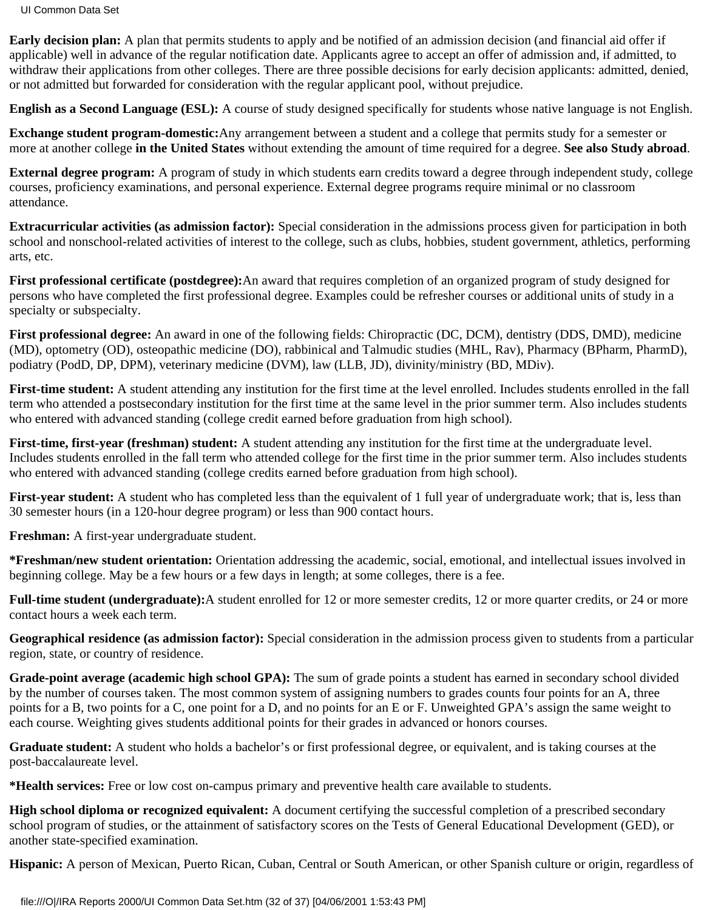UI Common Data Set

**Early decision plan:** A plan that permits students to apply and be notified of an admission decision (and financial aid offer if applicable) well in advance of the regular notification date. Applicants agree to accept an offer of admission and, if admitted, to withdraw their applications from other colleges. There are three possible decisions for early decision applicants: admitted, denied, or not admitted but forwarded for consideration with the regular applicant pool, without prejudice.

**English as a Second Language (ESL):** A course of study designed specifically for students whose native language is not English.

**Exchange student program-domestic:**Any arrangement between a student and a college that permits study for a semester or more at another college **in the United States** without extending the amount of time required for a degree. **See also Study abroad**.

**External degree program:** A program of study in which students earn credits toward a degree through independent study, college courses, proficiency examinations, and personal experience. External degree programs require minimal or no classroom attendance.

**Extracurricular activities (as admission factor):** Special consideration in the admissions process given for participation in both school and nonschool-related activities of interest to the college, such as clubs, hobbies, student government, athletics, performing arts, etc.

**First professional certificate (postdegree):**An award that requires completion of an organized program of study designed for persons who have completed the first professional degree. Examples could be refresher courses or additional units of study in a specialty or subspecialty.

**First professional degree:** An award in one of the following fields: Chiropractic (DC, DCM), dentistry (DDS, DMD), medicine (MD), optometry (OD), osteopathic medicine (DO), rabbinical and Talmudic studies (MHL, Rav), Pharmacy (BPharm, PharmD), podiatry (PodD, DP, DPM), veterinary medicine (DVM), law (LLB, JD), divinity/ministry (BD, MDiv).

**First-time student:** A student attending any institution for the first time at the level enrolled. Includes students enrolled in the fall term who attended a postsecondary institution for the first time at the same level in the prior summer term. Also includes students who entered with advanced standing (college credit earned before graduation from high school).

**First-time, first-year (freshman) student:** A student attending any institution for the first time at the undergraduate level. Includes students enrolled in the fall term who attended college for the first time in the prior summer term. Also includes students who entered with advanced standing (college credits earned before graduation from high school).

**First-year student:** A student who has completed less than the equivalent of 1 full year of undergraduate work; that is, less than 30 semester hours (in a 120-hour degree program) or less than 900 contact hours.

**Freshman:** A first-year undergraduate student.

**\*Freshman/new student orientation:** Orientation addressing the academic, social, emotional, and intellectual issues involved in beginning college. May be a few hours or a few days in length; at some colleges, there is a fee.

Full-time student (undergraduate): A student enrolled for 12 or more semester credits, 12 or more quarter credits, or 24 or more contact hours a week each term.

**Geographical residence (as admission factor):** Special consideration in the admission process given to students from a particular region, state, or country of residence.

**Grade-point average (academic high school GPA):** The sum of grade points a student has earned in secondary school divided by the number of courses taken. The most common system of assigning numbers to grades counts four points for an A, three points for a B, two points for a C, one point for a D, and no points for an E or F. Unweighted GPA's assign the same weight to each course. Weighting gives students additional points for their grades in advanced or honors courses.

**Graduate student:** A student who holds a bachelor's or first professional degree, or equivalent, and is taking courses at the post-baccalaureate level.

**\*Health services:** Free or low cost on-campus primary and preventive health care available to students.

**High school diploma or recognized equivalent:** A document certifying the successful completion of a prescribed secondary school program of studies, or the attainment of satisfactory scores on the Tests of General Educational Development (GED), or another state-specified examination.

**Hispanic:** A person of Mexican, Puerto Rican, Cuban, Central or South American, or other Spanish culture or origin, regardless of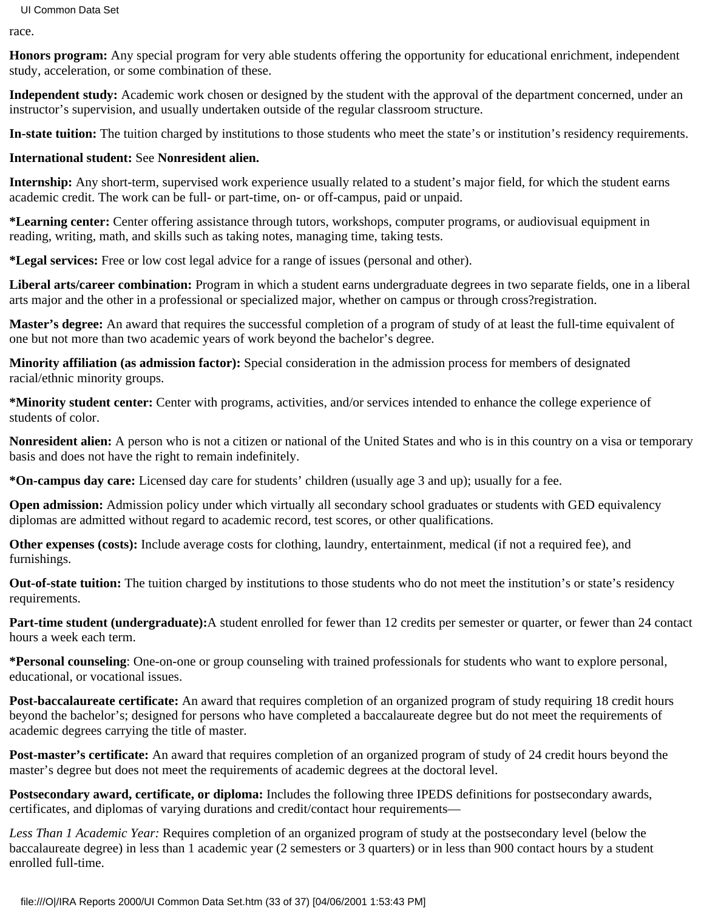race.

**Honors program:** Any special program for very able students offering the opportunity for educational enrichment, independent study, acceleration, or some combination of these.

**Independent study:** Academic work chosen or designed by the student with the approval of the department concerned, under an instructor's supervision, and usually undertaken outside of the regular classroom structure.

**In-state tuition:** The tuition charged by institutions to those students who meet the state's or institution's residency requirements.

### **International student:** See **Nonresident alien.**

**Internship:** Any short-term, supervised work experience usually related to a student's major field, for which the student earns academic credit. The work can be full- or part-time, on- or off-campus, paid or unpaid.

**\*Learning center:** Center offering assistance through tutors, workshops, computer programs, or audiovisual equipment in reading, writing, math, and skills such as taking notes, managing time, taking tests.

**\*Legal services:** Free or low cost legal advice for a range of issues (personal and other).

**Liberal arts/career combination:** Program in which a student earns undergraduate degrees in two separate fields, one in a liberal arts major and the other in a professional or specialized major, whether on campus or through cross?registration.

**Master's degree:** An award that requires the successful completion of a program of study of at least the full-time equivalent of one but not more than two academic years of work beyond the bachelor's degree.

**Minority affiliation (as admission factor):** Special consideration in the admission process for members of designated racial/ethnic minority groups.

**\*Minority student center:** Center with programs, activities, and/or services intended to enhance the college experience of students of color.

**Nonresident alien:** A person who is not a citizen or national of the United States and who is in this country on a visa or temporary basis and does not have the right to remain indefinitely.

**\*On-campus day care:** Licensed day care for students' children (usually age 3 and up); usually for a fee.

**Open admission:** Admission policy under which virtually all secondary school graduates or students with GED equivalency diplomas are admitted without regard to academic record, test scores, or other qualifications.

**Other expenses (costs):** Include average costs for clothing, laundry, entertainment, medical (if not a required fee), and furnishings.

**Out-of-state tuition:** The tuition charged by institutions to those students who do not meet the institution's or state's residency requirements.

**Part-time student (undergraduate):**A student enrolled for fewer than 12 credits per semester or quarter, or fewer than 24 contact hours a week each term.

**\*Personal counseling**: One-on-one or group counseling with trained professionals for students who want to explore personal, educational, or vocational issues.

**Post-baccalaureate certificate:** An award that requires completion of an organized program of study requiring 18 credit hours beyond the bachelor's; designed for persons who have completed a baccalaureate degree but do not meet the requirements of academic degrees carrying the title of master.

**Post-master's certificate:** An award that requires completion of an organized program of study of 24 credit hours beyond the master's degree but does not meet the requirements of academic degrees at the doctoral level.

**Postsecondary award, certificate, or diploma:** Includes the following three IPEDS definitions for postsecondary awards, certificates, and diplomas of varying durations and credit/contact hour requirements—

*Less Than 1 Academic Year:* Requires completion of an organized program of study at the postsecondary level (below the baccalaureate degree) in less than 1 academic year (2 semesters or 3 quarters) or in less than 900 contact hours by a student enrolled full-time.

file:///O|/IRA Reports 2000/UI Common Data Set.htm (33 of 37) [04/06/2001 1:53:43 PM]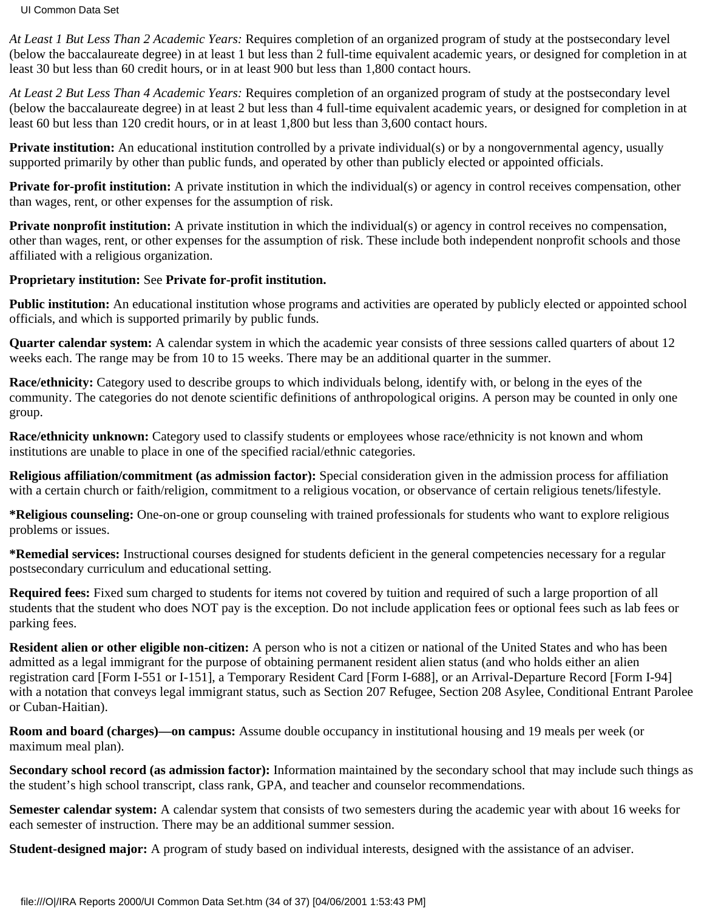*At Least 1 But Less Than 2 Academic Years:* Requires completion of an organized program of study at the postsecondary level (below the baccalaureate degree) in at least 1 but less than 2 full-time equivalent academic years, or designed for completion in at least 30 but less than 60 credit hours, or in at least 900 but less than 1,800 contact hours.

*At Least 2 But Less Than 4 Academic Years:* Requires completion of an organized program of study at the postsecondary level (below the baccalaureate degree) in at least 2 but less than 4 full-time equivalent academic years, or designed for completion in at least 60 but less than 120 credit hours, or in at least 1,800 but less than 3,600 contact hours.

**Private institution:** An educational institution controlled by a private individual(s) or by a nongovernmental agency, usually supported primarily by other than public funds, and operated by other than publicly elected or appointed officials.

**Private for-profit institution:** A private institution in which the individual(s) or agency in control receives compensation, other than wages, rent, or other expenses for the assumption of risk.

**Private nonprofit institution:** A private institution in which the individual(s) or agency in control receives no compensation, other than wages, rent, or other expenses for the assumption of risk. These include both independent nonprofit schools and those affiliated with a religious organization.

### **Proprietary institution:** See **Private for-profit institution.**

Public institution: An educational institution whose programs and activities are operated by publicly elected or appointed school officials, and which is supported primarily by public funds.

**Quarter calendar system:** A calendar system in which the academic year consists of three sessions called quarters of about 12 weeks each. The range may be from 10 to 15 weeks. There may be an additional quarter in the summer.

**Race/ethnicity:** Category used to describe groups to which individuals belong, identify with, or belong in the eyes of the community. The categories do not denote scientific definitions of anthropological origins. A person may be counted in only one group.

**Race/ethnicity unknown:** Category used to classify students or employees whose race/ethnicity is not known and whom institutions are unable to place in one of the specified racial/ethnic categories.

**Religious affiliation/commitment (as admission factor):** Special consideration given in the admission process for affiliation with a certain church or faith/religion, commitment to a religious vocation, or observance of certain religious tenets/lifestyle.

**\*Religious counseling:** One-on-one or group counseling with trained professionals for students who want to explore religious problems or issues.

**\*Remedial services:** Instructional courses designed for students deficient in the general competencies necessary for a regular postsecondary curriculum and educational setting.

**Required fees:** Fixed sum charged to students for items not covered by tuition and required of such a large proportion of all students that the student who does NOT pay is the exception. Do not include application fees or optional fees such as lab fees or parking fees.

**Resident alien or other eligible non-citizen:** A person who is not a citizen or national of the United States and who has been admitted as a legal immigrant for the purpose of obtaining permanent resident alien status (and who holds either an alien registration card [Form I-551 or I-151], a Temporary Resident Card [Form I-688], or an Arrival-Departure Record [Form I-94] with a notation that conveys legal immigrant status, such as Section 207 Refugee, Section 208 Asylee, Conditional Entrant Parolee or Cuban-Haitian).

**Room and board (charges)—on campus:** Assume double occupancy in institutional housing and 19 meals per week (or maximum meal plan).

**Secondary school record (as admission factor):** Information maintained by the secondary school that may include such things as the student's high school transcript, class rank, GPA, and teacher and counselor recommendations.

**Semester calendar system:** A calendar system that consists of two semesters during the academic year with about 16 weeks for each semester of instruction. There may be an additional summer session.

**Student-designed major:** A program of study based on individual interests, designed with the assistance of an adviser.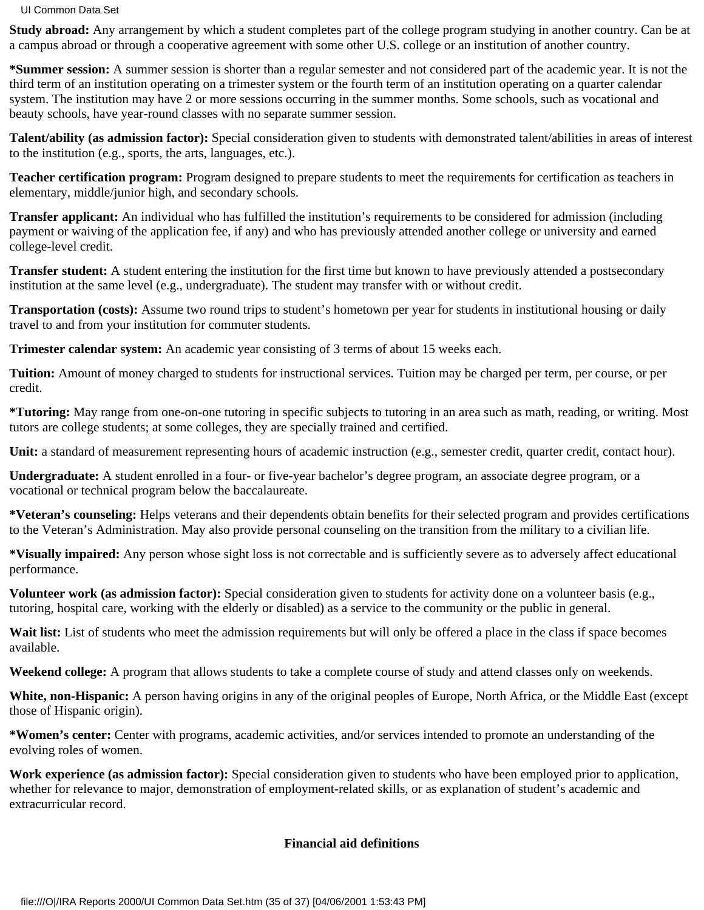**Study abroad:** Any arrangement by which a student completes part of the college program studying in another country. Can be at a campus abroad or through a cooperative agreement with some other U.S. college or an institution of another country.

**\*Summer session:** A summer session is shorter than a regular semester and not considered part of the academic year. It is not the third term of an institution operating on a trimester system or the fourth term of an institution operating on a quarter calendar system. The institution may have 2 or more sessions occurring in the summer months. Some schools, such as vocational and beauty schools, have year-round classes with no separate summer session.

**Talent/ability (as admission factor):** Special consideration given to students with demonstrated talent/abilities in areas of interest to the institution (e.g., sports, the arts, languages, etc.).

**Teacher certification program:** Program designed to prepare students to meet the requirements for certification as teachers in elementary, middle/junior high, and secondary schools.

**Transfer applicant:** An individual who has fulfilled the institution's requirements to be considered for admission (including payment or waiving of the application fee, if any) and who has previously attended another college or university and earned college-level credit.

**Transfer student:** A student entering the institution for the first time but known to have previously attended a postsecondary institution at the same level (e.g., undergraduate). The student may transfer with or without credit.

**Transportation (costs):** Assume two round trips to student's hometown per year for students in institutional housing or daily travel to and from your institution for commuter students.

**Trimester calendar system:** An academic year consisting of 3 terms of about 15 weeks each.

**Tuition:** Amount of money charged to students for instructional services. Tuition may be charged per term, per course, or per credit.

**\*Tutoring:** May range from one-on-one tutoring in specific subjects to tutoring in an area such as math, reading, or writing. Most tutors are college students; at some colleges, they are specially trained and certified.

**Unit:** a standard of measurement representing hours of academic instruction (e.g., semester credit, quarter credit, contact hour).

**Undergraduate:** A student enrolled in a four- or five-year bachelor's degree program, an associate degree program, or a vocational or technical program below the baccalaureate.

**\*Veteran's counseling:** Helps veterans and their dependents obtain benefits for their selected program and provides certifications to the Veteran's Administration. May also provide personal counseling on the transition from the military to a civilian life.

**\*Visually impaired:** Any person whose sight loss is not correctable and is sufficiently severe as to adversely affect educational performance.

**Volunteer work (as admission factor):** Special consideration given to students for activity done on a volunteer basis (e.g., tutoring, hospital care, working with the elderly or disabled) as a service to the community or the public in general.

Wait list: List of students who meet the admission requirements but will only be offered a place in the class if space becomes available.

**Weekend college:** A program that allows students to take a complete course of study and attend classes only on weekends.

**White, non-Hispanic:** A person having origins in any of the original peoples of Europe, North Africa, or the Middle East (except those of Hispanic origin).

**\*Women's center:** Center with programs, academic activities, and/or services intended to promote an understanding of the evolving roles of women.

**Work experience (as admission factor):** Special consideration given to students who have been employed prior to application, whether for relevance to major, demonstration of employment-related skills, or as explanation of student's academic and extracurricular record.

# **Financial aid definitions**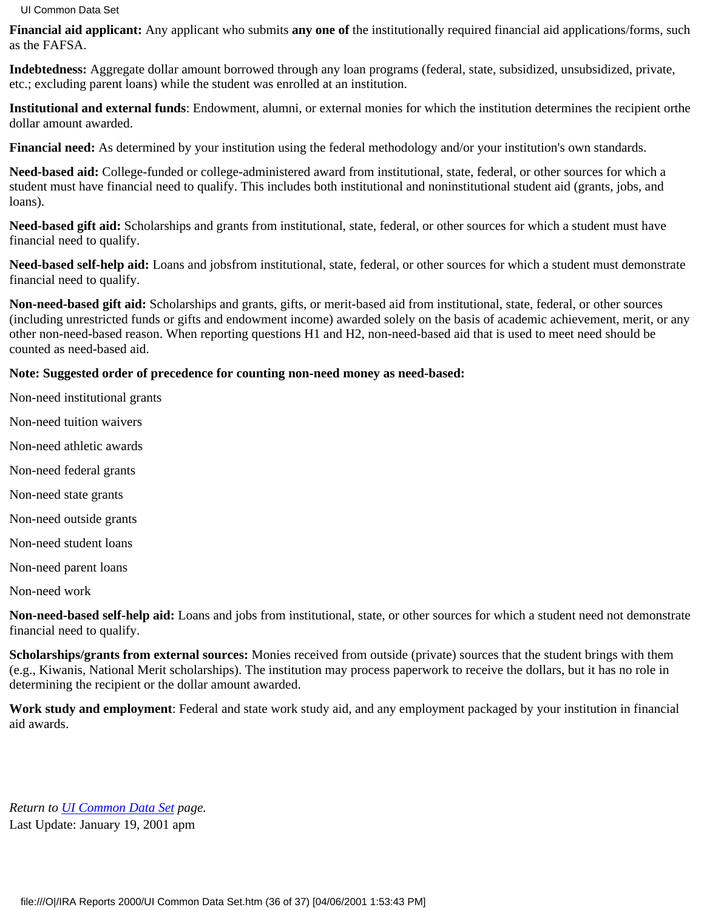**Financial aid applicant:** Any applicant who submits **any one of** the institutionally required financial aid applications/forms, such as the FAFSA.

**Indebtedness:** Aggregate dollar amount borrowed through any loan programs (federal, state, subsidized, unsubsidized, private, etc.; excluding parent loans) while the student was enrolled at an institution.

**Institutional and external funds**: Endowment, alumni, or external monies for which the institution determines the recipient orthe dollar amount awarded.

**Financial need:** As determined by your institution using the federal methodology and/or your institution's own standards.

**Need-based aid:** College-funded or college-administered award from institutional, state, federal, or other sources for which a student must have financial need to qualify. This includes both institutional and noninstitutional student aid (grants, jobs, and loans).

**Need-based gift aid:** Scholarships and grants from institutional, state, federal, or other sources for which a student must have financial need to qualify.

**Need-based self-help aid:** Loans and jobsfrom institutional, state, federal, or other sources for which a student must demonstrate financial need to qualify.

**Non-need-based gift aid:** Scholarships and grants, gifts, or merit-based aid from institutional, state, federal, or other sources (including unrestricted funds or gifts and endowment income) awarded solely on the basis of academic achievement, merit, or any other non-need-based reason. When reporting questions H1 and H2, non-need-based aid that is used to meet need should be counted as need-based aid.

### **Note: Suggested order of precedence for counting non-need money as need-based:**

- Non-need institutional grants
- Non-need tuition waivers
- Non-need athletic awards
- Non-need federal grants
- Non-need state grants
- Non-need outside grants
- Non-need student loans
- Non-need parent loans
- Non-need work

**Non-need-based self-help aid:** Loans and jobs from institutional, state, or other sources for which a student need not demonstrate financial need to qualify.

**Scholarships/grants from external sources:** Monies received from outside (private) sources that the student brings with them (e.g., Kiwanis, National Merit scholarships). The institution may process paperwork to receive the dollars, but it has no role in determining the recipient or the dollar amount awarded.

**Work study and employment**: Federal and state work study aid, and any employment packaged by your institution in financial aid awards.

*Return to [UI Common Data Set](http://www.uidaho.edu/ipb/ir/uicds99.html) page.* Last Update: January 19, 2001 apm